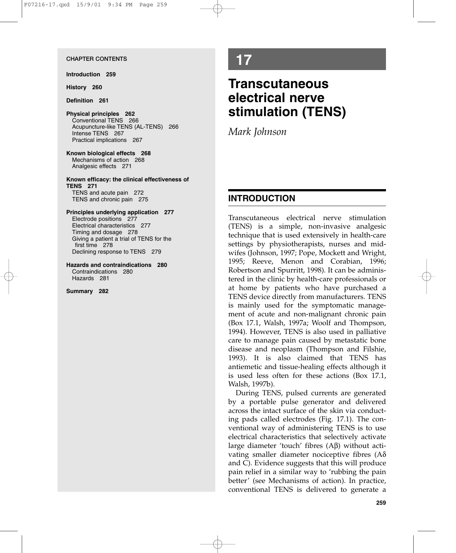#### **CHAPTER CONTENTS**

**Introduction 259**

**History 260**

**Definition 261**

**Physical principles 262** Conventional TENS 266 Acupuncture-like TENS (AL-TENS) 266 Intense TENS 267 Practical implications 267

**Known biological effects 268** Mechanisms of action 268 Analgesic effects 271

**Known efficacy: the clinical effectiveness of TENS 271** TENS and acute pain 272 TENS and chronic pain 275

#### **Principles underlying application 277**

Electrode positions 277 Electrical characteristics 277 Timing and dosage 278 Giving a patient a trial of TENS for the first time 278 Declining response to TENS 279

**Hazards and contraindications 280** Contraindications 280 Hazards 281

**Summary 282**

# **17**

# **Transcutaneous electrical nerve stimulation (TENS)**

*Mark Johnson*

# **INTRODUCTION**

Transcutaneous electrical nerve stimulation (TENS) is a simple, non-invasive analgesic technique that is used extensively in health-care settings by physiotherapists, nurses and midwifes (Johnson, 1997; Pope, Mockett and Wright, 1995; Reeve, Menon and Corabian, 1996; Robertson and Spurritt, 1998). It can be administered in the clinic by health-care professionals or at home by patients who have purchased a TENS device directly from manufacturers. TENS is mainly used for the symptomatic management of acute and non-malignant chronic pain (Box 17.1, Walsh, 1997a; Woolf and Thompson, 1994). However, TENS is also used in palliative care to manage pain caused by metastatic bone disease and neoplasm (Thompson and Filshie, 1993). It is also claimed that TENS has antiemetic and tissue-healing effects although it is used less often for these actions (Box 17.1, Walsh, 1997b).

During TENS, pulsed currents are generated by a portable pulse generator and delivered across the intact surface of the skin via conducting pads called electrodes (Fig. 17.1). The conventional way of administering TENS is to use electrical characteristics that selectively activate large diameter 'touch' fibres (Aβ) without activating smaller diameter nociceptive fibres  $(A\delta)$ and C). Evidence suggests that this will produce pain relief in a similar way to 'rubbing the pain better' (see Mechanisms of action). In practice, conventional TENS is delivered to generate a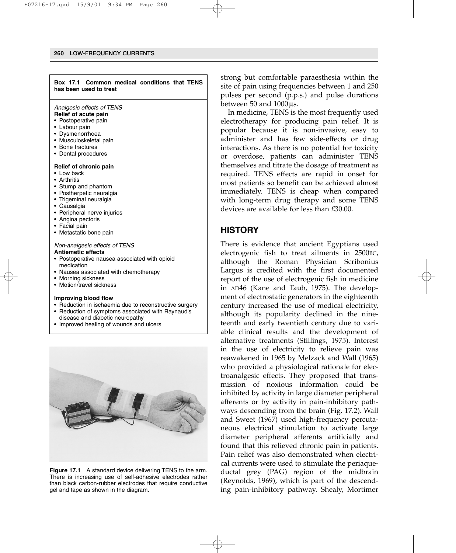#### **Box 17.1 Common medical conditions that TENS has been used to treat**

#### *Analgesic effects of TENS*

- **Relief of acute pain**
- Postoperative pain
- Labour pain
- Dysmenorrhoea • Musculoskeletal pain
- 
- Bone fractures
- Dental procedures

#### **Relief of chronic pain**

- Low back
- Arthritis
- Stump and phantom
- Postherpetic neuralgia
- Trigeminal neuralgia
- Causalgia
- Peripheral nerve injuries
- Angina pectoris
- Facial pain
- Metastatic bone pain

#### *Non-analgesic effects of TENS*

- **Antiemetic effects** • Postoperative nausea associated with opioid medication
- Nausea associated with chemotherapy
- Morning sickness
- Motion/travel sickness

#### **Improving blood flow**

- Reduction in ischaemia due to reconstructive surgery • Reduction of symptoms associated with Raynaud's
- disease and diabetic neuropathy
- Improved healing of wounds and ulcers



**Figure 17.1** A standard device delivering TENS to the arm. There is increasing use of self-adhesive electrodes rather than black carbon-rubber electrodes that require conductive gel and tape as shown in the diagram.

strong but comfortable paraesthesia within the site of pain using frequencies between 1 and 250 pulses per second (p.p.s.) and pulse durations between  $50$  and  $1000 \,\mu s$ .

In medicine, TENS is the most frequently used electrotherapy for producing pain relief. It is popular because it is non-invasive, easy to administer and has few side-effects or drug interactions. As there is no potential for toxicity or overdose, patients can administer TENS themselves and titrate the dosage of treatment as required. TENS effects are rapid in onset for most patients so benefit can be achieved almost immediately. TENS is cheap when compared with long-term drug therapy and some TENS devices are available for less than £30.00.

# **HISTORY**

There is evidence that ancient Egyptians used electrogenic fish to treat ailments in 2500BC, although the Roman Physician Scribonius Largus is credited with the first documented report of the use of electrogenic fish in medicine in AD46 (Kane and Taub, 1975). The development of electrostatic generators in the eighteenth century increased the use of medical electricity, although its popularity declined in the nineteenth and early twentieth century due to variable clinical results and the development of alternative treatments (Stillings, 1975). Interest in the use of electricity to relieve pain was reawakened in 1965 by Melzack and Wall (1965) who provided a physiological rationale for electroanalgesic effects. They proposed that transmission of noxious information could be inhibited by activity in large diameter peripheral afferents or by activity in pain-inhibitory pathways descending from the brain (Fig. 17.2). Wall and Sweet (1967) used high-frequency percutaneous electrical stimulation to activate large diameter peripheral afferents artificially and found that this relieved chronic pain in patients. Pain relief was also demonstrated when electrical currents were used to stimulate the periaqueductal grey (PAG) region of the midbrain (Reynolds, 1969), which is part of the descending pain-inhibitory pathway. Shealy, Mortimer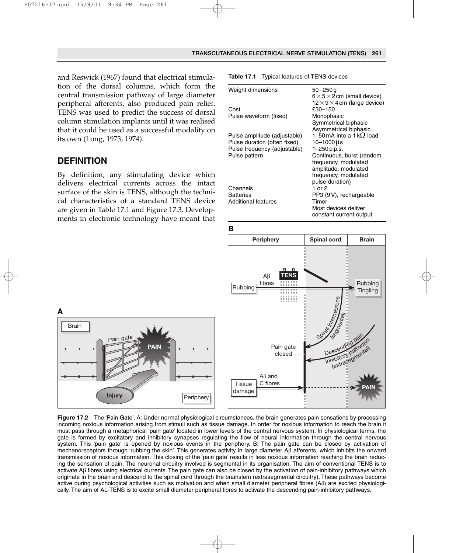and Reswick (1967) found that electrical stimulation of the dorsal columns, which form the central transmission pathway of large diameter peripheral afferents, also produced pain relief. TENS was used to predict the success of dorsal column stimulation implants until it was realised that it could be used as a successful modality on its own (Long, 1973, 1974).

# **DEFINITION**

Brain

**A**

By definition, any stimulating device which delivers electrical currents across the intact surface of the skin is TENS, although the technical characteristics of a standard TENS device are given in Table 17.1 and Figure 17.3. Developments in electronic technology have meant that

**PAIN**

**Injury**

Pain gate

| Weight dimensions            | 50–250 g                                 |
|------------------------------|------------------------------------------|
|                              | $6 \times 5 \times 2$ cm (small device)  |
|                              | $12 \times 9 \times 4$ cm (large device) |
| Cost                         | £30-150                                  |
| Pulse waveform (fixed)       | Monophasic                               |
|                              | Symmetrical biphasic                     |
|                              | Asymmetrical biphasic                    |
| Pulse amplitude (adjustable) | 1–50 mA into a 1 k $\Omega$ load         |
| Pulse duration (often fixed) | 10–1000 µs                               |
| Pulse frequency (adjustable) | $1 - 250$ p.p.s.                         |
| Pulse pattern                | Continuous, burst (random                |
|                              | frequency, modulated                     |
|                              | amplitude, modulated                     |
|                              | frequency, modulated                     |
|                              | pulse duration)                          |
| Channels                     | 1 or 2                                   |
| <b>Batteries</b>             | PP3 (9 V), rechargeable                  |
| Additional features          | Timer                                    |
|                              | Most devices deliver                     |
|                              | constant current output                  |
|                              |                                          |

**B**



**Figure 17.2** The 'Pain Gate'. A: Under normal physiological circumstances, the brain generates pain sensations by processing incoming noxious information arising from stimuli such as tissue damage. In order for noxious information to reach the brain it must pass through a metaphorical 'pain gate' located in lower levels of the central nervous system. In physiological terms, the gate is formed by excitatory and inhibitory synapses regulating the flow of neural information through the central nervous system. This 'pain gate' is opened by noxious events in the periphery. B: The pain gate can be closed by activation of mechanoreceptors through 'rubbing the skin'. This generates activity in large diameter Aβ afferents, which inhibits the onward transmission of noxious information. This closing of the 'pain gate' results in less noxious information reaching the brain reducing the sensation of pain. The neuronal circuitry involved is segmental in its organisation. The aim of conventional TENS is to activate Aβ fibres using electrical currents. The pain gate can also be closed by the activation of pain-inhibitory pathways which originate in the brain and descend to the spinal cord through the brainstem (extrasegmental circuitry). These pathways become active during psychological activities such as motivation and when small diameter peripheral fibres (Aδ) are excited physiologically. The aim of AL-TENS is to excite small diameter peripheral fibres to activate the descending pain-inhibitory pathways.

**Periphery** 

**Table 17.1** Typical features of TENS devices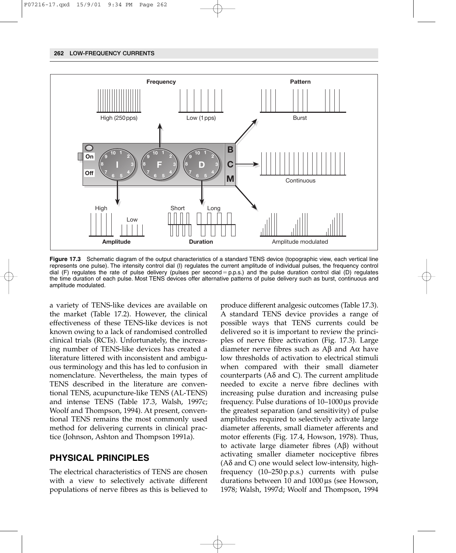

**Figure 17.3** Schematic diagram of the output characteristics of a standard TENS device (topographic view, each vertical line represents one pulse). The intensity control dial (I) regulates the current amplitude of individual pulses, the frequency control dial (F) regulates the rate of pulse delivery (pulses per second=p.p.s.) and the pulse duration control dial (D) regulates the time duration of each pulse. Most TENS devices offer alternative patterns of pulse delivery such as burst, continuous and amplitude modulated.

a variety of TENS-like devices are available on the market (Table 17.2). However, the clinical effectiveness of these TENS-like devices is not known owing to a lack of randomised controlled clinical trials (RCTs). Unfortunately, the increasing number of TENS-like devices has created a literature littered with inconsistent and ambiguous terminology and this has led to confusion in nomenclature. Nevertheless, the main types of TENS described in the literature are conventional TENS, acupuncture-like TENS (AL-TENS) and intense TENS (Table 17.3, Walsh, 1997c; Woolf and Thompson, 1994). At present, conventional TENS remains the most commonly used method for delivering currents in clinical practice (Johnson, Ashton and Thompson 1991a).

# **PHYSICAL PRINCIPLES**

The electrical characteristics of TENS are chosen with a view to selectively activate different populations of nerve fibres as this is believed to

produce different analgesic outcomes (Table 17.3). A standard TENS device provides a range of possible ways that TENS currents could be delivered so it is important to review the principles of nerve fibre activation (Fig. 17.3). Large diameter nerve fibres such as Aβ and Aα have low thresholds of activation to electrical stimuli when compared with their small diameter counterparts ( $A\delta$  and C). The current amplitude needed to excite a nerve fibre declines with increasing pulse duration and increasing pulse frequency. Pulse durations of 10–1000 µs provide the greatest separation (and sensitivity) of pulse amplitudes required to selectively activate large diameter afferents, small diameter afferents and motor efferents (Fig. 17.4, Howson, 1978). Thus, to activate large diameter fibres (Aβ) without activating smaller diameter nociceptive fibres (Aδ and C) one would select low-intensity, highfrequency (10–250 p.p.s.) currents with pulse durations between 10 and 1000 µs (see Howson, 1978; Walsh, 1997d; Woolf and Thompson, 1994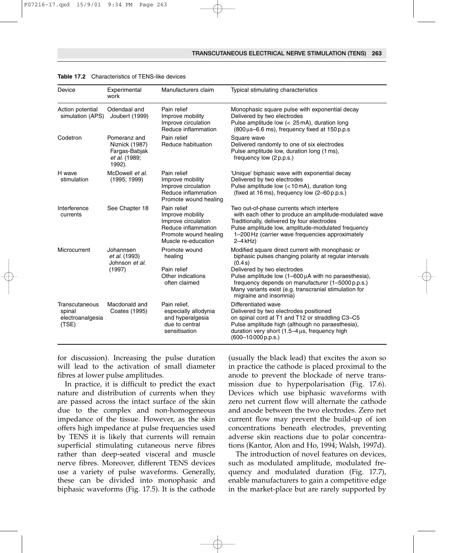| Device                                                | Experimental<br>work                                                       | Manufacturers claim                                                                                                           | Typical stimulating characteristics                                                                                                                                                                                                                                                                                                                          |
|-------------------------------------------------------|----------------------------------------------------------------------------|-------------------------------------------------------------------------------------------------------------------------------|--------------------------------------------------------------------------------------------------------------------------------------------------------------------------------------------------------------------------------------------------------------------------------------------------------------------------------------------------------------|
| Action potential<br>simulation (APS)                  | Odendaal and<br>Joubert (1999)                                             | Pain relief<br>Improve mobility<br>Improve circulation<br>Reduce inflammation                                                 | Monophasic square pulse with exponential decay<br>Delivered by two electrodes<br>Pulse amplitude low $(< 25 \text{ mA})$ , duration long<br>$(800 \,\mu s - 6.6 \,\text{ms})$ , frequency fixed at 150 p.p.s                                                                                                                                                 |
| Codetron                                              | Pomeranz and<br>Niznick (1987)<br>Fargas-Babjak<br>et al. (1989;<br>1992). | Pain relief<br>Reduce habituation                                                                                             | Square wave<br>Delivered randomly to one of six electrodes<br>Pulse amplitude low, duration long (1 ms),<br>frequency low (2 p.p.s.)                                                                                                                                                                                                                         |
| H wave<br>stimulation                                 | McDowell et al.<br>(1995; 1999)                                            | Pain relief<br>Improve mobility<br>Improve circulation<br>Reduce inflammation<br>Promote wound healing                        | 'Unique' biphasic wave with exponential decay<br>Delivered by two electrodes<br>Pulse amplitude low (< 10 mA), duration long<br>(fixed at 16 ms), frequency low (2-60 p.p.s.)                                                                                                                                                                                |
| Interference<br>currents                              | See Chapter 18                                                             | Pain relief<br>Improve mobility<br>Improve circulation<br>Reduce inflammation<br>Promote wound healing<br>Muscle re-education | Two out-of-phase currents which interfere<br>with each other to produce an amplitude-modulated wave<br>Traditionally, delivered by four electrodes<br>Pulse amplitude low, amplitude-modulated frequency<br>1-200 Hz (carrier wave frequencies approximately<br>$2-4$ kHz)                                                                                   |
| Microcurrent                                          | Johannsen<br>et al. (1993)<br>Johnson et al.<br>(1997)                     | Promote wound<br>healing<br>Pain relief<br>Other indications<br>often claimed                                                 | Modified square direct current with monophasic or<br>biphasic pulses changing polarity at regular intervals<br>(0.4 s)<br>Delivered by two electrodes<br>Pulse amplitude low $(1-600 \mu A)$ with no paraesthesia),<br>frequency depends on manufacturer (1-5000 p.p.s.)<br>Many variants exist (e.g. transcranial stimulation for<br>migraine and insomnia) |
| Transcutaneous<br>spinal<br>electroanalgesia<br>(TSE) | Macdonald and<br>Coates (1995)                                             | Pain relief.<br>especially allodynia<br>and hyperalgesia<br>due to central<br>sensitisation                                   | Differentiated wave<br>Delivered by two electrodes positioned<br>on spinal cord at T1 and T12 or straddling C3-C5<br>Pulse amplitude high (although no paraesthesia),<br>duration very short $(1.5-4 \,\mu s,$ frequency high<br>$(600-10000 p.p.s.)$                                                                                                        |

for discussion). Increasing the pulse duration will lead to the activation of small diameter fibres at lower pulse amplitudes.

In practice, it is difficult to predict the exact nature and distribution of currents when they are passed across the intact surface of the skin due to the complex and non-homogeneous impedance of the tissue. However, as the skin offers high impedance at pulse frequencies used by TENS it is likely that currents will remain superficial stimulating cutaneous nerve fibres rather than deep-seated visceral and muscle nerve fibres. Moreover, different TENS devices use a variety of pulse waveforms. Generally, these can be divided into monophasic and biphasic waveforms (Fig. 17.5). It is the cathode

(usually the black lead) that excites the axon so in practice the cathode is placed proximal to the anode to prevent the blockade of nerve transmission due to hyperpolarisation (Fig. 17.6). Devices which use biphasic waveforms with zero net current flow will alternate the cathode and anode between the two electrodes. Zero net current flow may prevent the build-up of ion concentrations beneath electrodes, preventing adverse skin reactions due to polar concentrations (Kantor, Alon and Ho, 1994; Walsh, 1997d).

The introduction of novel features on devices, such as modulated amplitude, modulated frequency and modulated duration (Fig. 17.7), enable manufacturers to gain a competitive edge in the market-place but are rarely supported by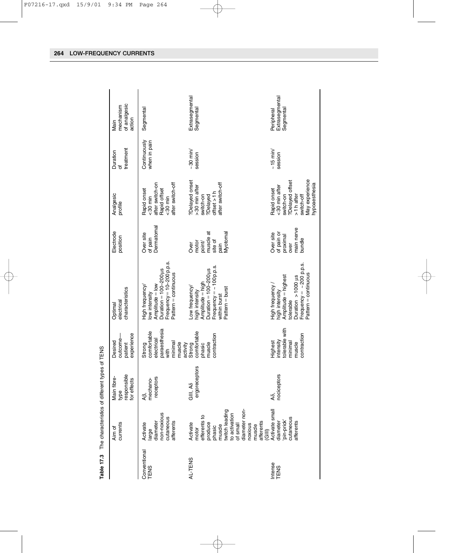|                      |                                                                                                                                                                                                                         | Table 17.3 The characteristics of different types of TENS |                                                                                              |                                                                                                                                                          |                                                                     |                                                                                                                                 |                              |                                             |
|----------------------|-------------------------------------------------------------------------------------------------------------------------------------------------------------------------------------------------------------------------|-----------------------------------------------------------|----------------------------------------------------------------------------------------------|----------------------------------------------------------------------------------------------------------------------------------------------------------|---------------------------------------------------------------------|---------------------------------------------------------------------------------------------------------------------------------|------------------------------|---------------------------------------------|
|                      | currents<br>Aim of                                                                                                                                                                                                      | responsible<br>Main fibre-<br>for effects<br>type         | experience<br>outcome-<br>Desired<br>patient                                                 | characteristics<br>electrical<br>Optimal                                                                                                                 | Electrode<br>position                                               | Analgesic<br>profile                                                                                                            | treatment<br>Duration<br>৳   | of analgesic<br>mechanism<br>action<br>Main |
| Conventional<br>TENS | non-noxious<br>cutaneous<br>afferents<br>diameter<br>Activate<br>large                                                                                                                                                  | receptors<br>mechano-<br>Аβ,                              | paraesthesia<br>comfortable<br>electrical<br>minimal<br>muscle<br>Strong<br>activity<br>with | Frequency= 10-200 p.p.s.<br>Amplitude = low<br>Duration = 100–200 µs<br>Pattern = continuous<br>High frequency/<br>low intensity                         | Dermatomal<br>Over site<br>of pain                                  | <30 min<br>after switch-on<br>after switch-off<br>Rapid onset<br>Rapid offset<br>< 30 min                                       | Continuously<br>when in pain | Segmental                                   |
| L-TENS               | twitch leading<br>to activation<br>of small<br>diameter non-<br>muscle<br>afferents<br>(GIII)<br>Activate small<br>$\circ$<br>produce<br>phasic<br>muscle<br>twitch lead<br>efferents t<br>Activate<br>noxious<br>motor | ergoreceptors<br>GIII, A <sub>δ</sub>                     | comfortable<br>contraction<br>muscle<br>phasic<br>Strong                                     | Frequency = $\sim$ 100 p.p.s.<br>Duration = $100-200$ $\mu$ s<br>high intensity<br>Amplitude = high<br>Low frequency/<br>Pattern = burst<br>within burst | point/<br>muscle at<br>site of<br>pain<br>Myotomal<br>motor<br>Över | ?Delayed onset<br>after switch-off<br>> 30 min after<br>switch-on<br>?Delayed<br>offset > 1 h                                   | $~20$ min/<br>session        | Extrasegmental<br>Segmental                 |
| Intense<br>TENS      | cutaneous<br>diameter<br>pin-prick'<br>afferents                                                                                                                                                                        | nociceptors<br>Аδ,                                        | tolerable with<br>contraction<br>intensity<br>Highest<br>minimal<br>muscle                   | Frequency = $\sim$ 200 p.p.s.<br>Pattern = continuous<br>Amplitude = highest<br>Duration >1000 µs<br>High frequency<br>high intensity<br>tolerable       | main nerve<br>Over site<br>of pain or<br>proximal<br>bundle<br>over | May experience<br>?Delayed offset<br>hypoaesthesia<br>Rapid onset<br>< 30 min after<br>switch-on<br>$> 1 h$ after<br>switch-off | $\sim$ 15 min/<br>session    | Extrasegmental<br>Segmental<br>Peripheral   |

Table 17.3 The characteristics of different types of TENS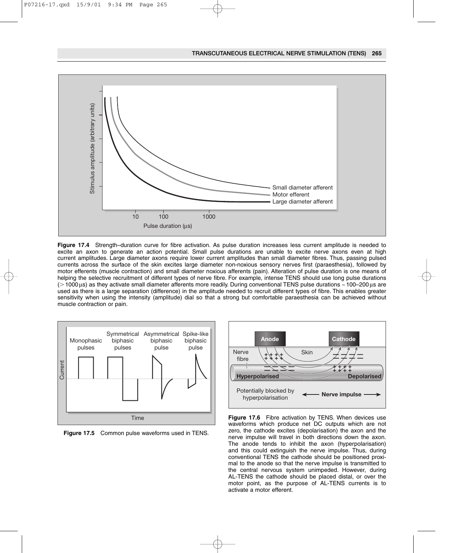

**Figure 17.4** Strength–duration curve for fibre activation. As pulse duration increases less current amplitude is needed to excite an axon to generate an action potential. Small pulse durations are unable to excite nerve axons even at high current amplitudes. Large diameter axons require lower current amplitudes than small diameter fibres. Thus, passing pulsed currents across the surface of the skin excites large diameter non-noxious sensory nerves first (paraesthesia), followed by motor efferents (muscle contraction) and small diameter noxious afferents (pain). Alteration of pulse duration is one means of helping the selective recruitment of different types of nerve fibre. For example, intense TENS should use long pulse durations  $($  1000 us) as they activate small diameter afferents more readily. During conventional TENS pulse durations  $\sim$  100–200 us are used as there is a large separation (difference) in the amplitude needed to recruit different types of fibre. This enables greater sensitivity when using the intensity (amplitude) dial so that a strong but comfortable paraesthesia can be achieved without muscle contraction or pain.



**Figure 17.5** Common pulse waveforms used in TENS.



**Figure 17.6** Fibre activation by TENS. When devices use waveforms which produce net DC outputs which are not zero, the cathode excites (depolarisation) the axon and the nerve impulse will travel in both directions down the axon. The anode tends to inhibit the axon (hyperpolarisation) and this could extinguish the nerve impulse. Thus, during conventional TENS the cathode should be positioned proximal to the anode so that the nerve impulse is transmitted to the central nervous system unimpeded. However, during AL-TENS the cathode should be placed distal, or over the motor point, as the purpose of AL-TENS currents is to activate a motor efferent.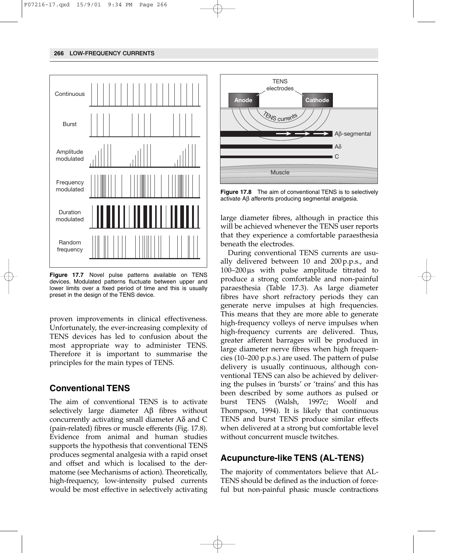

**Figure 17.7** Novel pulse patterns available on TENS devices. Modulated patterns fluctuate between upper and lower limits over a fixed period of time and this is usually preset in the design of the TENS device.

proven improvements in clinical effectiveness. Unfortunately, the ever-increasing complexity of TENS devices has led to confusion about the most appropriate way to administer TENS. Therefore it is important to summarise the principles for the main types of TENS.

### **Conventional TENS**

The aim of conventional TENS is to activate selectively large diameter Aβ fibres without concurrently activating small diameter Aδ and C (pain-related) fibres or muscle efferents (Fig. 17.8). Evidence from animal and human studies supports the hypothesis that conventional TENS produces segmental analgesia with a rapid onset and offset and which is localised to the dermatome (see Mechanisms of action). Theoretically, high-frequency, low-intensity pulsed currents would be most effective in selectively activating



**Figure 17.8** The aim of conventional TENS is to selectively activate Aβ afferents producing segmental analgesia.

large diameter fibres, although in practice this will be achieved whenever the TENS user reports that they experience a comfortable paraesthesia beneath the electrodes.

During conventional TENS currents are usually delivered between 10 and 200 p.p.s., and 100–200 µs with pulse amplitude titrated to produce a strong comfortable and non-painful paraesthesia (Table 17.3). As large diameter fibres have short refractory periods they can generate nerve impulses at high frequencies. This means that they are more able to generate high-frequency volleys of nerve impulses when high-frequency currents are delivered. Thus, greater afferent barrages will be produced in large diameter nerve fibres when high frequencies (10–200 p.p.s.) are used. The pattern of pulse delivery is usually continuous, although conventional TENS can also be achieved by delivering the pulses in 'bursts' or 'trains' and this has been described by some authors as pulsed or burst TENS (Walsh, 1997c; Woolf and Thompson, 1994). It is likely that continuous TENS and burst TENS produce similar effects when delivered at a strong but comfortable level without concurrent muscle twitches.

#### **Acupuncture-like TENS (AL-TENS)**

The majority of commentators believe that AL-TENS should be defined as the induction of forceful but non-painful phasic muscle contractions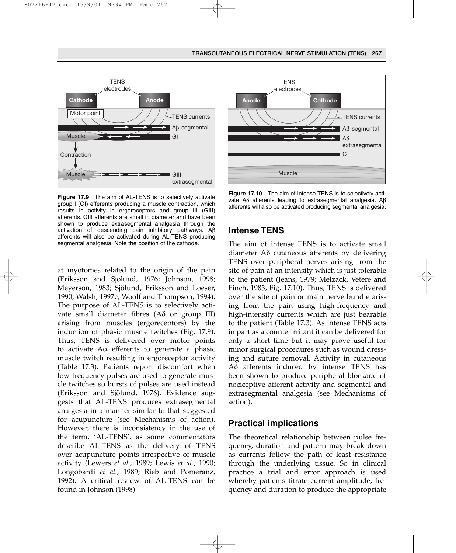

**Figure 17.9** The aim of AL-TENS is to selectively activate group I (GI) efferents producing a muscle contraction, which results in activity in ergoreceptors and group III (GIII) afferents. GIII afferents are small in diameter and have been shown to produce extrasegmental analgesia through the activation of descending pain inhibitory pathways. Aβ afferents will also be activated during AL-TENS producing segmental analgesia. Note the position of the cathode.

at myotomes related to the origin of the pain (Eriksson and Sjölund, 1976; Johnson, 1998; Meyerson, 1983; Sjölund, Eriksson and Loeser, 1990; Walsh, 1997c; Woolf and Thompson, 1994). The purpose of AL-TENS is to selectively activate small diameter fibres (Aδ or group III) arising from muscles (ergoreceptors) by the induction of phasic muscle twitches (Fig. 17.9). Thus, TENS is delivered over motor points to activate Aα efferents to generate a phasic muscle twitch resulting in ergoreceptor activity (Table 17.3). Patients report discomfort when low-frequency pulses are used to generate muscle twitches so bursts of pulses are used instead (Eriksson and Sjölund, 1976). Evidence suggests that AL-TENS produces extrasegmental analgesia in a manner similar to that suggested for acupuncture (see Mechanisms of action). However, there is inconsistency in the use of the term, 'AL-TENS', as some commentators describe AL-TENS as the delivery of TENS over acupuncture points irrespective of muscle activity (Lewers *et al*., 1989; Lewis *et al*., 1990; Longobardi *et al*., 1989; Rieb and Pomeranz, 1992). A critical review of AL-TENS can be found in Johnson (1998).



**Figure 17.10** The aim of intense TENS is to selectively activate Aδ afferents leading to extrasegmental analgesia. Aβ afferents will also be activated producing segmental analgesia.

# **Intense TENS**

The aim of intense TENS is to activate small diameter Aδ cutaneous afferents by delivering TENS over peripheral nerves arising from the site of pain at an intensity which is just tolerable to the patient (Jeans, 1979; Melzack, Vetere and Finch, 1983, Fig. 17.10). Thus, TENS is delivered over the site of pain or main nerve bundle arising from the pain using high-frequency and high-intensity currents which are just bearable to the patient (Table 17.3). As intense TENS acts in part as a counterirritant it can be delivered for only a short time but it may prove useful for minor surgical procedures such as wound dressing and suture removal. Activity in cutaneous Aδ afferents induced by intense TENS has been shown to produce peripheral blockade of nociceptive afferent activity and segmental and extrasegmental analgesia (see Mechanisms of action).

# **Practical implications**

The theoretical relationship between pulse frequency, duration and pattern may break down as currents follow the path of least resistance through the underlying tissue. So in clinical practice a trial and error approach is used whereby patients titrate current amplitude, frequency and duration to produce the appropriate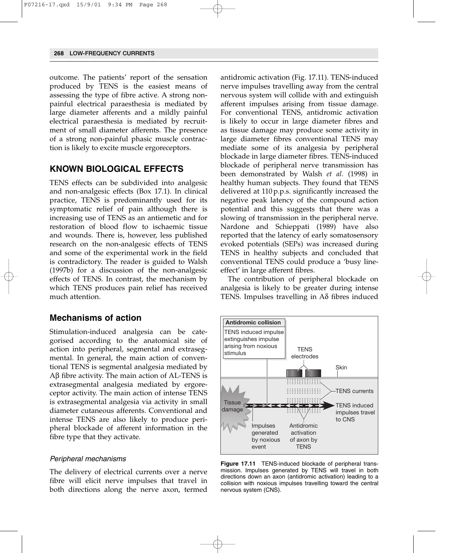outcome. The patients' report of the sensation produced by TENS is the easiest means of assessing the type of fibre active. A strong nonpainful electrical paraesthesia is mediated by large diameter afferents and a mildly painful electrical paraesthesia is mediated by recruitment of small diameter afferents. The presence of a strong non-painful phasic muscle contraction is likely to excite muscle ergoreceptors.

# **KNOWN BIOLOGICAL EFFECTS**

TENS effects can be subdivided into analgesic and non-analgesic effects (Box 17.1). In clinical practice, TENS is predominantly used for its symptomatic relief of pain although there is increasing use of TENS as an antiemetic and for restoration of blood flow to ischaemic tissue and wounds. There is, however, less published research on the non-analgesic effects of TENS and some of the experimental work in the field is contradictory. The reader is guided to Walsh (1997b) for a discussion of the non-analgesic effects of TENS. In contrast, the mechanism by which TENS produces pain relief has received much attention.

# **Mechanisms of action**

Stimulation-induced analgesia can be categorised according to the anatomical site of action into peripheral, segmental and extrasegmental. In general, the main action of conventional TENS is segmental analgesia mediated by Aβ fibre activity. The main action of AL-TENS is extrasegmental analgesia mediated by ergoreceptor activity. The main action of intense TENS is extrasegmental analgesia via activity in small diameter cutaneous afferents. Conventional and intense TENS are also likely to produce peripheral blockade of afferent information in the fibre type that they activate.

#### *Peripheral mechanisms*

The delivery of electrical currents over a nerve fibre will elicit nerve impulses that travel in both directions along the nerve axon, termed

antidromic activation (Fig. 17.11). TENS-induced nerve impulses travelling away from the central nervous system will collide with and extinguish afferent impulses arising from tissue damage. For conventional TENS, antidromic activation is likely to occur in large diameter fibres and as tissue damage may produce some activity in large diameter fibres conventional TENS may mediate some of its analgesia by peripheral blockade in large diameter fibres. TENS-induced blockade of peripheral nerve transmission has been demonstrated by Walsh *et al*. (1998) in healthy human subjects. They found that TENS delivered at 110 p.p.s. significantly increased the negative peak latency of the compound action potential and this suggests that there was a slowing of transmission in the peripheral nerve. Nardone and Schieppati (1989) have also reported that the latency of early somatosensory evoked potentials (SEPs) was increased during TENS in healthy subjects and concluded that conventional TENS could produce a 'busy lineeffect' in large afferent fibres.

The contribution of peripheral blockade on analgesia is likely to be greater during intense TENS. Impulses travelling in Aδ fibres induced



**Figure 17.11** TENS-induced blockade of peripheral transmission. Impulses generated by TENS will travel in both directions down an axon (antidromic activation) leading to a collision with noxious impulses travelling toward the central nervous system (CNS).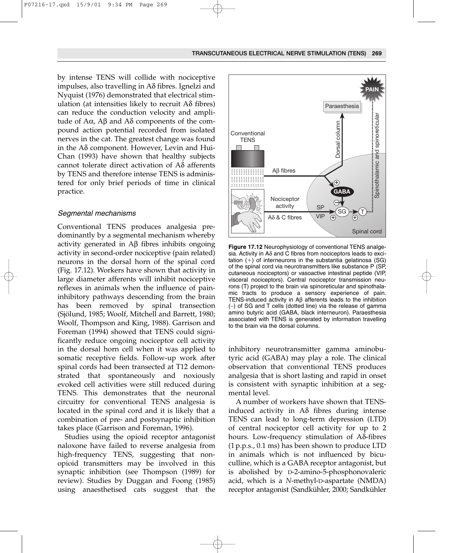by intense TENS will collide with nociceptive impulses, also travelling in Aδ fibres. Ignelzi and Nyquist (1976) demonstrated that electrical stimulation (at intensities likely to recruit  $A\delta$  fibres) can reduce the conduction velocity and amplitude of  $A\alpha$ ,  $A\beta$  and  $A\delta$  components of the compound action potential recorded from isolated nerves in the cat. The greatest change was found in the Aδ component. However, Levin and Hui-Chan (1993) have shown that healthy subjects cannot tolerate direct activation of Aδ afferents by TENS and therefore intense TENS is administered for only brief periods of time in clinical practice.

#### *Segmental mechanisms*

Conventional TENS produces analgesia predominantly by a segmental mechanism whereby activity generated in Aβ fibres inhibits ongoing activity in second-order nociceptive (pain related) neurons in the dorsal horn of the spinal cord (Fig. 17.12). Workers have shown that activity in large diameter afferents will inhibit nociceptive reflexes in animals when the influence of paininhibitory pathways descending from the brain has been removed by spinal transection (Sjölund, 1985; Woolf, Mitchell and Barrett, 1980; Woolf, Thompson and King, 1988). Garrison and Foreman (1994) showed that TENS could significantly reduce ongoing nociceptor cell activity in the dorsal horn cell when it was applied to somatic receptive fields. Follow-up work after spinal cords had been transected at T12 demonstrated that spontaneously and noxiously evoked cell activities were still reduced during TENS. This demonstrates that the neuronal circuitry for conventional TENS analgesia is located in the spinal cord and it is likely that a combination of pre- and postsynaptic inhibition takes place (Garrison and Foreman, 1996).

Studies using the opioid receptor antagonist naloxone have failed to reverse analgesia from high-frequency TENS, suggesting that nonopioid transmitters may be involved in this synaptic inhibition (see Thompson (1989) for review). Studies by Duggan and Foong (1985) using anaesthetised cats suggest that the



**Figure 17.12** Neurophysiology of conventional TENS analgesia. Activity in Aδ and C fibres from nociceptors leads to excitation  $(+)$  of interneurons in the substantia gelatinosa (SG) of the spinal cord via neurotransmitters like substance P (SP, cutaneous nociceptors) or vasoactive intestinal peptide (VIP, visceral nociceptors). Central nociceptor transmission neurons (T) project to the brain via spinoreticular and spinothalamic tracts to produce a sensory experience of pain. TENS-induced activity in Aβ afferents leads to the inhibition (−) of SG and T cells (dotted line) via the release of gamma amino butyric acid (GABA, black interneuron). Paraesthesia associated with TENS is generated by information travelling to the brain via the dorsal columns.

inhibitory neurotransmitter gamma aminobutyric acid (GABA) may play a role. The clinical observation that conventional TENS produces analgesia that is short lasting and rapid in onset is consistent with synaptic inhibition at a segmental level.

A number of workers have shown that TENSinduced activity in Aδ fibres during intense TENS can lead to long-term depression (LTD) of central nociceptor cell activity for up to 2 hours. Low-frequency stimulation of Aδ-fibres (1 p.p.s., 0.1 ms) has been shown to produce LTD in animals which is not influenced by bicuculline, which is a GABA receptor antagonist, but is abolished by D-2-amino-5-phosphonovaleric acid, which is a *N*-methyl-D-aspartate (NMDA) receptor antagonist (Sandkühler, 2000; Sandkühler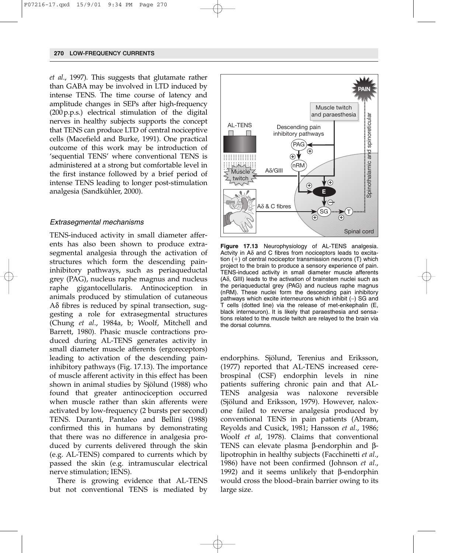*et al*., 1997). This suggests that glutamate rather than GABA may be involved in LTD induced by intense TENS. The time course of latency and amplitude changes in SEPs after high-frequency  $(200 p.p.s.)$  electrical stimulation of the digital nerves in healthy subjects supports the concept that TENS can produce LTD of central nociceptive cells (Macefield and Burke, 1991). One practical outcome of this work may be introduction of 'sequential TENS' where conventional TENS is administered at a strong but comfortable level in the first instance followed by a brief period of intense TENS leading to longer post-stimulation analgesia (Sandkühler, 2000).

#### *Extrasegmental mechanisms*

TENS-induced activity in small diameter afferents has also been shown to produce extrasegmental analgesia through the activation of structures which form the descending paininhibitory pathways, such as periaqueductal grey (PAG), nucleus raphe magnus and nucleus raphe gigantocellularis. Antinociception in animals produced by stimulation of cutaneous Aδ fibres is reduced by spinal transection, suggesting a role for extrasegmental structures (Chung *et al*., 1984a, b; Woolf, Mitchell and Barrett, 1980). Phasic muscle contractions produced during AL-TENS generates activity in small diameter muscle afferents (ergoreceptors) leading to activation of the descending paininhibitory pathways (Fig. 17.13). The importance of muscle afferent activity in this effect has been shown in animal studies by Sjölund (1988) who found that greater antinociception occurred when muscle rather than skin afferents were activated by low-frequency (2 bursts per second) TENS. Duranti, Pantaleo and Bellini (1988) confirmed this in humans by demonstrating that there was no difference in analgesia produced by currents delivered through the skin (e.g. AL-TENS) compared to currents which by passed the skin (e.g. intramuscular electrical nerve stimulation; IENS).

There is growing evidence that AL-TENS but not conventional TENS is mediated by



**Figure 17.13** Neurophysiology of AL-TENS analgesia. Actvity in Aδ and C fibres from nociceptors leads to excitation  $(+)$  of central nociceptor transmission neurons (T) which project to the brain to produce a sensory experience of pain. TENS-induced activity in small diameter muscle afferents (Aδ, GIII) leads to the activation of brainstem nuclei such as the periaqueductal grey (PAG) and nucleus raphe magnus (nRM). These nuclei form the descending pain inhibitory pathways which excite interneurons which inhibit (-) SG and T cells (dotted line) via the release of met-enkephalin (E, black interneuron). It is likely that paraesthesia and sensations related to the muscle twitch are relayed to the brain via the dorsal columns.

endorphins. Sjölund, Terenius and Eriksson, (1977) reported that AL-TENS increased cerebrospinal (CSF) endorphin levels in nine patients suffering chronic pain and that AL-TENS analgesia was naloxone reversible (Sjölund and Eriksson, 1979). However, naloxone failed to reverse analgesia produced by conventional TENS in pain patients (Abram, Reyolds and Cusick, 1981; Hansson *et al*., 1986; Woolf *et al*, 1978). Claims that conventional TENS can elevate plasma β-endorphin and βlipotrophin in healthy subjects (Facchinetti *et al*., 1986) have not been confirmed (Johnson *et al*., 1992) and it seems unlikely that β-endorphin would cross the blood–brain barrier owing to its large size.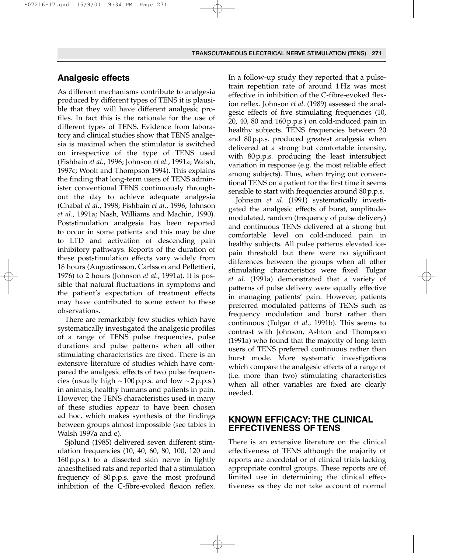# **Analgesic effects**

As different mechanisms contribute to analgesia produced by different types of TENS it is plausible that they will have different analgesic profiles. In fact this is the rationale for the use of different types of TENS. Evidence from laboratory and clinical studies show that TENS analgesia is maximal when the stimulator is switched on irrespective of the type of TENS used (Fishbain *et al.*, 1996; Johnson *et al.*, 1991a; Walsh, 1997c; Woolf and Thompson 1994). This explains the finding that long-term users of TENS administer conventional TENS continuously throughout the day to achieve adequate analgesia (Chabal *et al.*, 1998; Fishbain *et al.*, 1996; Johnson *et al.*, 1991a; Nash, Williams and Machin, 1990). Poststimulation analgesia has been reported to occur in some patients and this may be due to LTD and activation of descending pain inhibitory pathways. Reports of the duration of these poststimulation effects vary widely from 18 hours (Augustinsson, Carlsson and Pellettieri, 1976) to 2 hours (Johnson *et al*., 1991a). It is possible that natural fluctuations in symptoms and the patient's expectation of treatment effects may have contributed to some extent to these observations.

There are remarkably few studies which have systematically investigated the analgesic profiles of a range of TENS pulse frequencies, pulse durations and pulse patterns when all other stimulating characteristics are fixed. There is an extensive literature of studies which have compared the analgesic effects of two pulse frequencies (usually high  $\sim$  100 p.p.s. and low  $\sim$  2 p.p.s.) in animals, healthy humans and patients in pain. However, the TENS characteristics used in many of these studies appear to have been chosen ad hoc, which makes synthesis of the findings between groups almost impossible (see tables in Walsh 1997a and e).

Sjölund (1985) delivered seven different stimulation frequencies (10, 40, 60, 80, 100, 120 and 160 p.p.s.) to a dissected skin nerve in lightly anaesthetised rats and reported that a stimulation frequency of 80 p.p.s. gave the most profound inhibition of the C-fibre-evoked flexion reflex.

In a follow-up study they reported that a pulsetrain repetition rate of around 1 Hz was most effective in inhibition of the C-fibre-evoked flexion reflex. Johnson *et al*. (1989) assessed the analgesic effects of five stimulating frequencies (10, 20, 40, 80 and 160 p.p.s.) on cold-induced pain in healthy subjects. TENS frequencies between 20 and 80 p.p.s. produced greatest analgesia when delivered at a strong but comfortable intensity, with 80 p.p.s. producing the least intersubject variation in response (e.g. the most reliable effect among subjects). Thus, when trying out conventional TENS on a patient for the first time it seems sensible to start with frequencies around 80 p.p.s.

Johnson *et al*. (1991) systematically investigated the analgesic effects of burst, amplitudemodulated, random (frequency of pulse delivery) and continuous TENS delivered at a strong but comfortable level on cold-induced pain in healthy subjects. All pulse patterns elevated icepain threshold but there were no significant differences between the groups when all other stimulating characteristics were fixed. Tulgar *et al*. (1991a) demonstrated that a variety of patterns of pulse delivery were equally effective in managing patients' pain. However, patients preferred modulated patterns of TENS such as frequency modulation and burst rather than continuous (Tulgar *et al*., 1991b). This seems to contrast with Johnson, Ashton and Thompson (1991a) who found that the majority of long-term users of TENS preferred continuous rather than burst mode. More systematic investigations which compare the analgesic effects of a range of (i.e. more than two) stimulating characteristics when all other variables are fixed are clearly needed.

# **KNOWN EFFICACY: THE CLINICAL EFFECTIVENESS OF TENS**

There is an extensive literature on the clinical effectiveness of TENS although the majority of reports are anecdotal or of clinical trials lacking appropriate control groups. These reports are of limited use in determining the clinical effectiveness as they do not take account of normal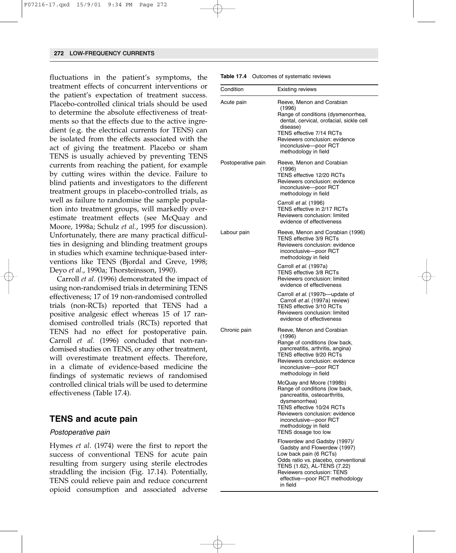fluctuations in the patient's symptoms, the treatment effects of concurrent interventions or the patient's expectation of treatment success. Placebo-controlled clinical trials should be used to determine the absolute effectiveness of treatments so that the effects due to the active ingredient (e.g. the electrical currents for TENS) can be isolated from the effects associated with the act of giving the treatment. Placebo or sham TENS is usually achieved by preventing TENS currents from reaching the patient, for example by cutting wires within the device. Failure to blind patients and investigators to the different treatment groups in placebo-controlled trials, as well as failure to randomise the sample population into treatment groups, will markedly overestimate treatment effects (see McQuay and Moore, 1998a; Schulz *et al.*, 1995 for discussion). Unfortunately, there are many practical difficulties in designing and blinding treatment groups in studies which examine technique-based interventions like TENS (Bjordal and Greve, 1998; Deyo *et al*., 1990a; Thorsteinsson, 1990).

Carroll *et al*. (1996) demonstrated the impact of using non-randomised trials in determining TENS effectiveness; 17 of 19 non-randomised controlled trials (non-RCTs) reported that TENS had a positive analgesic effect whereas 15 of 17 randomised controlled trials (RCTs) reported that TENS had no effect for postoperative pain. Carroll *et al*. (1996) concluded that non-randomised studies on TENS, or any other treatment, will overestimate treatment effects. Therefore, in a climate of evidence-based medicine the findings of systematic reviews of randomised controlled clinical trials will be used to determine effectiveness (Table 17.4).

# **TENS and acute pain**

#### *Postoperative pain*

Hymes *et al*. (1974) were the first to report the success of conventional TENS for acute pain resulting from surgery using sterile electrodes straddling the incision (Fig. 17.14). Potentially, TENS could relieve pain and reduce concurrent opioid consumption and associated adverse

| Condition          | Existing reviews                                                                                                                                                                                                                                    |
|--------------------|-----------------------------------------------------------------------------------------------------------------------------------------------------------------------------------------------------------------------------------------------------|
| Acute pain         | Reeve, Menon and Corabian<br>(1996)<br>Range of conditions (dysmenorrhea,<br>dental, cervical, orofacial, sickle cell<br>disease)<br>TENS effective 7/14 RCTs<br>Reviewers conclusion: evidence<br>inconclusive-poor RCT<br>methodology in field    |
| Postoperative pain | Reeve, Menon and Corabian<br>(1996)<br>TENS effective 12/20 RCTs<br>Reviewers conclusion: evidence<br>inconclusive-poor RCT<br>methodology in field                                                                                                 |
|                    | Carroll et al. (1996)<br>TENS effective in 2/17 RCTs<br>Reviewers conclusion: limited<br>evidence of effectiveness                                                                                                                                  |
| Labour pain        | Reeve, Menon and Corabian (1996)<br><b>TENS effective 3/9 RCTs</b><br>Reviewers conclusion: evidence<br>inconclusive-poor RCT<br>methodology in field                                                                                               |
|                    | Carroll <i>et al.</i> (1997a)<br>TENS effective 3/8 RCTs<br>Reviewers conclusion: limited<br>evidence of effectiveness                                                                                                                              |
|                    | Carroll et al. (1997b-update of<br>Carroll et al. (1997a) review)<br>TENS effective 3/10 RCTs<br>Reviewers conclusion: limited<br>evidence of effectiveness                                                                                         |
| Chronic pain       | Reeve, Menon and Corabian<br>(1996)<br>Range of conditions (low back,<br>pancreatitis, arthritis, angina)<br>TENS effective 9/20 RCTs<br>Reviewers conclusion: evidence<br>inconclusive-poor RCT<br>methodology in field                            |
|                    | McQuay and Moore (1998b)<br>Range of conditions (low back,<br>pancreatitis, osteoarthritis,<br>dysmenorrhea)<br>TENS effective 10/24 RCTs<br>Reviewers conclusion: evidence<br>inconclusive-poor RCT<br>methodology in field<br>TENS dosage too low |
|                    | Flowerdew and Gadsby (1997)/<br>Gadsby and Flowerdew (1997)<br>Low back pain (6 RCTs)<br>Odds ratio vs. placebo, conventional<br>TENS (1.62), AL-TENS (7.22)<br>Reviewers conclusion: TENS<br>effective-poor RCT methodology                        |

in field

| <b>Table 17.4</b> Outcomes of systematic reviews |  |  |
|--------------------------------------------------|--|--|
|--------------------------------------------------|--|--|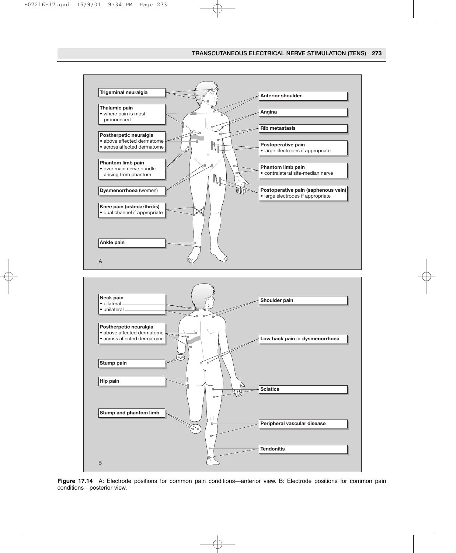



**Figure 17.14** A: Electrode positions for common pain conditions—anterior view. B: Electrode positions for common pain conditions—posterior view.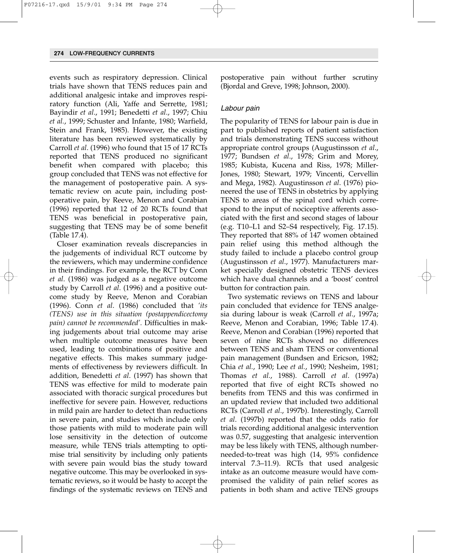events such as respiratory depression. Clinical trials have shown that TENS reduces pain and additional analgesic intake and improves respiratory function (Ali, Yaffe and Serrette, 1981; Bayindir *et al*., 1991; Benedetti *et al*., 1997; Chiu *et al.*, 1999; Schuster and Infante, 1980; Warfield, Stein and Frank, 1985). However, the existing literature has been reviewed systematically by Carroll *et al*. (1996) who found that 15 of 17 RCTs reported that TENS produced no significant benefit when compared with placebo; this group concluded that TENS was not effective for the management of postoperative pain. A systematic review on acute pain, including postoperative pain, by Reeve, Menon and Corabian (1996) reported that 12 of 20 RCTs found that TENS was beneficial in postoperative pain, suggesting that TENS may be of some benefit (Table 17.4).

Closer examination reveals discrepancies in the judgements of individual RCT outcome by the reviewers, which may undermine confidence in their findings. For example, the RCT by Conn *et al*. (1986) was judged as a negative outcome study by Carroll *et al*. (1996) and a positive outcome study by Reeve, Menon and Corabian (1996). Conn *et al*. (1986) concluded that *'its (TENS) use in this situation (postappendicectomy pain) cannot be recommended'.* Difficulties in making judgements about trial outcome may arise when multiple outcome measures have been used, leading to combinations of positive and negative effects. This makes summary judgements of effectiveness by reviewers difficult. In addition, Benedetti *et al*. (1997) has shown that TENS was effective for mild to moderate pain associated with thoracic surgical procedures but ineffective for severe pain. However, reductions in mild pain are harder to detect than reductions in severe pain, and studies which include only those patients with mild to moderate pain will lose sensitivity in the detection of outcome measure, while TENS trials attempting to optimise trial sensitivity by including only patients with severe pain would bias the study toward negative outcome. This may be overlooked in systematic reviews, so it would be hasty to accept the findings of the systematic reviews on TENS and

postoperative pain without further scrutiny (Bjordal and Greve, 1998; Johnson, 2000).

#### *Labour pain*

The popularity of TENS for labour pain is due in part to published reports of patient satisfaction and trials demonstrating TENS success without appropriate control groups (Augustinsson *et al*., 1977; Bundsen *et al*., 1978; Grim and Morey, 1985; Kubista, Kucena and Riss, 1978; Miller-Jones, 1980; Stewart, 1979; Vincenti, Cervellin and Mega, 1982). Augustinsson *et al*. (1976) pioneered the use of TENS in obstetrics by applying TENS to areas of the spinal cord which correspond to the input of nociceptive afferents associated with the first and second stages of labour (e.g. T10–L1 and S2–S4 respectively, Fig. 17.15). They reported that 88% of 147 women obtained pain relief using this method although the study failed to include a placebo control group (Augustinsson *et al*., 1977). Manufacturers market specially designed obstetric TENS devices which have dual channels and a 'boost' control button for contraction pain.

Two systematic reviews on TENS and labour pain concluded that evidence for TENS analgesia during labour is weak (Carroll *et al*., 1997a; Reeve, Menon and Corabian, 1996; Table 17.4). Reeve, Menon and Corabian (1996) reported that seven of nine RCTs showed no differences between TENS and sham TENS or conventional pain management (Bundsen and Ericson, 1982; Chia *et al.*, 1990; Lee *et al.*, 1990; Nesheim, 1981; Thomas *et al.*, 1988). Carroll *et al*. (1997a) reported that five of eight RCTs showed no benefits from TENS and this was confirmed in an updated review that included two additional RCTs (Carroll *et al*., 1997b). Interestingly, Carroll *et al*. (1997b) reported that the odds ratio for trials recording additional analgesic intervention was 0.57, suggesting that analgesic intervention may be less likely with TENS, although numberneeded-to-treat was high (14, 95% confidence interval 7.3–11.9). RCTs that used analgesic intake as an outcome measure would have compromised the validity of pain relief scores as patients in both sham and active TENS groups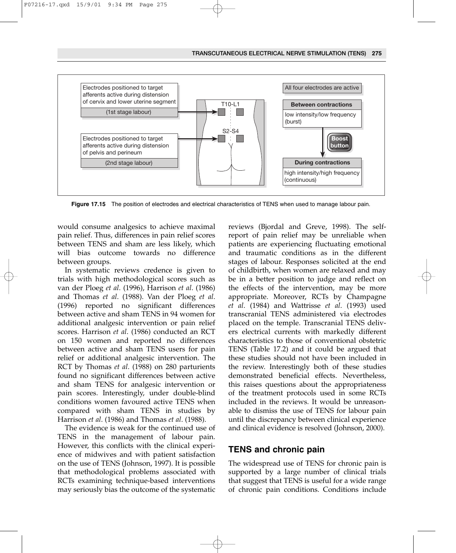

**Figure 17.15** The position of electrodes and electrical characteristics of TENS when used to manage labour pain.

would consume analgesics to achieve maximal pain relief. Thus, differences in pain relief scores between TENS and sham are less likely, which will bias outcome towards no difference between groups.

In systematic reviews credence is given to trials with high methodological scores such as van der Ploeg *et al*. (1996), Harrison *et al*. (1986) and Thomas *et al*. (1988). Van der Ploeg *et al*. (1996) reported no significant differences between active and sham TENS in 94 women for additional analgesic intervention or pain relief scores. Harrison *et al*. (1986) conducted an RCT on 150 women and reported no differences between active and sham TENS users for pain relief or additional analgesic intervention. The RCT by Thomas *et al*. (1988) on 280 parturients found no significant differences between active and sham TENS for analgesic intervention or pain scores. Interestingly, under double-blind conditions women favoured active TENS when compared with sham TENS in studies by Harrison *et al*. (1986) and Thomas *et al*. (1988).

The evidence is weak for the continued use of TENS in the management of labour pain. However, this conflicts with the clinical experience of midwives and with patient satisfaction on the use of TENS (Johnson, 1997). It is possible that methodological problems associated with RCTs examining technique-based interventions may seriously bias the outcome of the systematic

reviews (Bjordal and Greve, 1998). The selfreport of pain relief may be unreliable when patients are experiencing fluctuating emotional and traumatic conditions as in the different stages of labour. Responses solicited at the end of childbirth, when women are relaxed and may be in a better position to judge and reflect on the effects of the intervention, may be more appropriate. Moreover, RCTs by Champagne *et al*. (1984) and Wattrisse *et al*. (1993) used transcranial TENS administered via electrodes placed on the temple. Transcranial TENS delivers electrical currents with markedly different characteristics to those of conventional obstetric TENS (Table 17.2) and it could be argued that these studies should not have been included in the review. Interestingly both of these studies demonstrated beneficial effects. Nevertheless, this raises questions about the appropriateness of the treatment protocols used in some RCTs included in the reviews. It would be unreasonable to dismiss the use of TENS for labour pain until the discrepancy between clinical experience and clinical evidence is resolved (Johnson, 2000).

# **TENS and chronic pain**

The widespread use of TENS for chronic pain is supported by a large number of clinical trials that suggest that TENS is useful for a wide range of chronic pain conditions. Conditions include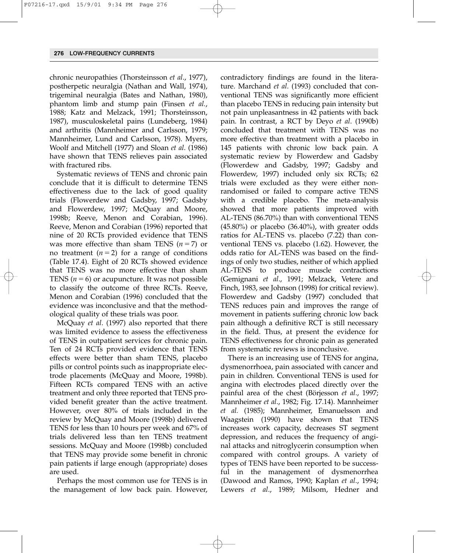chronic neuropathies (Thorsteinsson *et al*., 1977), postherpetic neuralgia (Nathan and Wall, 1974), trigeminal neuralgia (Bates and Nathan, 1980), phantom limb and stump pain (Finsen *et al.*, 1988; Katz and Melzack, 1991; Thorsteinsson, 1987), musculoskeletal pains (Lundeberg, 1984) and arthritis (Mannheimer and Carlsson, 1979; Mannheimer, Lund and Carlsson, 1978). Myers, Woolf and Mitchell (1977) and Sloan *et al*. (1986) have shown that TENS relieves pain associated with fractured ribs.

Systematic reviews of TENS and chronic pain conclude that it is difficult to determine TENS effectiveness due to the lack of good quality trials (Flowerdew and Gadsby, 1997; Gadsby and Flowerdew, 1997; McQuay and Moore, 1998b; Reeve, Menon and Corabian, 1996). Reeve, Menon and Corabian (1996) reported that nine of 20 RCTs provided evidence that TENS was more effective than sham TENS  $(n=7)$  or no treatment  $(n=2)$  for a range of conditions (Table 17.4). Eight of 20 RCTs showed evidence that TENS was no more effective than sham TENS ( $n = 6$ ) or acupuncture. It was not possible to classify the outcome of three RCTs. Reeve, Menon and Corabian (1996) concluded that the evidence was inconclusive and that the methodological quality of these trials was poor.

McQuay *et al*. (1997) also reported that there was limited evidence to assess the effectiveness of TENS in outpatient services for chronic pain. Ten of 24 RCTs provided evidence that TENS effects were better than sham TENS, placebo pills or control points such as inappropriate electrode placements (McQuay and Moore, 1998b). Fifteen RCTs compared TENS with an active treatment and only three reported that TENS provided benefit greater than the active treatment. However, over 80% of trials included in the review by McQuay and Moore (1998b) delivered TENS for less than 10 hours per week and 67% of trials delivered less than ten TENS treatment sessions. McQuay and Moore (1998b) concluded that TENS may provide some benefit in chronic pain patients if large enough (appropriate) doses are used.

Perhaps the most common use for TENS is in the management of low back pain. However,

contradictory findings are found in the literature. Marchand *et al*. (1993) concluded that conventional TENS was significantly more efficient than placebo TENS in reducing pain intensity but not pain unpleasantness in 42 patients with back pain. In contrast, a RCT by Deyo *et al*. (1990b) concluded that treatment with TENS was no more effective than treatment with a placebo in 145 patients with chronic low back pain. A systematic review by Flowerdew and Gadsby (Flowerdew and Gadsby, 1997; Gadsby and Flowerdew, 1997) included only six RCTs; 62 trials were excluded as they were either nonrandomised or failed to compare active TENS with a credible placebo. The meta-analysis showed that more patients improved with AL-TENS (86.70%) than with conventional TENS (45.80%) or placebo (36.40%), with greater odds ratios for AL-TENS vs. placebo (7.22) than conventional TENS vs. placebo (1.62). However, the odds ratio for AL-TENS was based on the findings of only two studies, neither of which applied AL-TENS to produce muscle contractions (Gemignani *et al*., 1991; Melzack, Vetere and Finch, 1983, see Johnson (1998) for critical review). Flowerdew and Gadsby (1997) concluded that TENS reduces pain and improves the range of movement in patients suffering chronic low back pain although a definitive RCT is still necessary in the field. Thus, at present the evidence for TENS effectiveness for chronic pain as generated from systematic reviews is inconclusive.

There is an increasing use of TENS for angina, dysmenorrhoea, pain associated with cancer and pain in children. Conventional TENS is used for angina with electrodes placed directly over the painful area of the chest (Börjesson *et al*., 1997; Mannheimer *et al*., 1982; Fig. 17.14). Mannheimer *et al.* (1985); Mannheimer, Emanuelsson and Waagstein (1990) have shown that TENS increases work capacity, decreases ST segment depression, and reduces the frequency of anginal attacks and nitroglycerin consumption when compared with control groups. A variety of types of TENS have been reported to be successful in the management of dysmenorrhea (Dawood and Ramos, 1990; Kaplan *et al*., 1994; Lewers *et al*., 1989; Milsom, Hedner and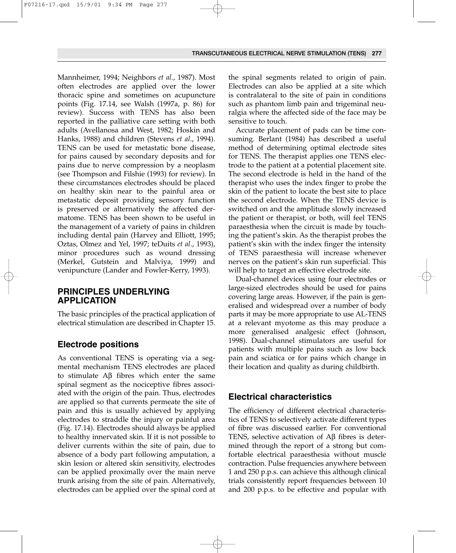Mannheimer, 1994; Neighbors *et al*., 1987). Most often electrodes are applied over the lower thoracic spine and sometimes on acupuncture points (Fig. 17.14, see Walsh (1997a, p. 86) for review). Success with TENS has also been reported in the palliative care setting with both adults (Avellanosa and West, 1982; Hoskin and Hanks, 1988) and children (Stevens *et al*., 1994). TENS can be used for metastatic bone disease, for pains caused by secondary deposits and for pains due to nerve compression by a neoplasm (see Thompson and Filshie (1993) for review). In these circumstances electrodes should be placed on healthy skin near to the painful area or metastatic deposit providing sensory function is preserved or alternatively the affected dermatome. TENS has been shown to be useful in the management of a variety of pains in children including dental pain (Harvey and Elliott, 1995; Oztas, Olmez and Yel, 1997; teDuits *et al*., 1993), minor procedures such as wound dressing (Merkel, Gutstein and Malviya, 1999) and venipuncture (Lander and Fowler-Kerry, 1993).

# **PRINCIPLES UNDERLYING APPLICATION**

The basic principles of the practical application of electrical stimulation are described in Chapter 15.

# **Electrode positions**

As conventional TENS is operating via a segmental mechanism TENS electrodes are placed to stimulate Aβ fibres which enter the same spinal segment as the nociceptive fibres associated with the origin of the pain. Thus, electrodes are applied so that currents permeate the site of pain and this is usually achieved by applying electrodes to straddle the injury or painful area (Fig. 17.14). Electrodes should always be applied to healthy innervated skin. If it is not possible to deliver currents within the site of pain, due to absence of a body part following amputation, a skin lesion or altered skin sensitivity, electrodes can be applied proximally over the main nerve trunk arising from the site of pain. Alternatively, electrodes can be applied over the spinal cord at

the spinal segments related to origin of pain. Electrodes can also be applied at a site which is contralateral to the site of pain in conditions such as phantom limb pain and trigeminal neuralgia where the affected side of the face may be sensitive to touch.

Accurate placement of pads can be time consuming. Berlant (1984) has described a useful method of determining optimal electrode sites for TENS. The therapist applies one TENS electrode to the patient at a potential placement site. The second electrode is held in the hand of the therapist who uses the index finger to probe the skin of the patient to locate the best site to place the second electrode. When the TENS device is switched on and the amplitude slowly increased the patient or therapist, or both, will feel TENS paraesthesia when the circuit is made by touching the patient's skin. As the therapist probes the patient's skin with the index finger the intensity of TENS paraesthesia will increase whenever nerves on the patient's skin run superficial. This will help to target an effective electrode site.

Dual-channel devices using four electrodes or large-sized electrodes should be used for pains covering large areas. However, if the pain is generalised and widespread over a number of body parts it may be more appropriate to use AL-TENS at a relevant myotome as this may produce a more generalised analgesic effect (Johnson, 1998). Dual-channel stimulators are useful for patients with multiple pains such as low back pain and sciatica or for pains which change in their location and quality as during childbirth.

# **Electrical characteristics**

The efficiency of different electrical characteristics of TENS to selectively activate different types of fibre was discussed earlier. For conventional TENS, selective activation of Aβ fibres is determined through the report of a strong but comfortable electrical paraesthesia without muscle contraction. Pulse frequencies anywhere between 1 and 250 p.p.s. can achieve this although clinical trials consistently report frequencies between 10 and 200 p.p.s. to be effective and popular with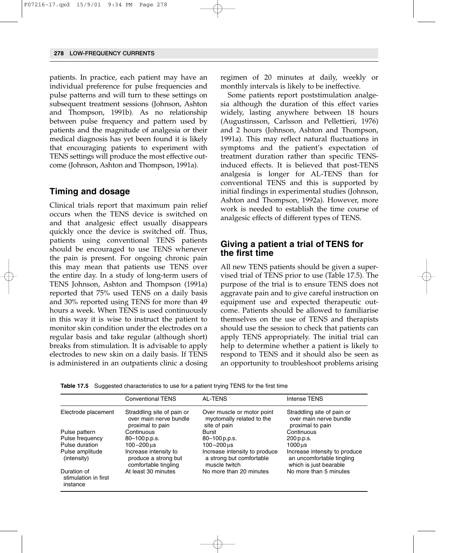patients. In practice, each patient may have an individual preference for pulse frequencies and pulse patterns and will turn to these settings on subsequent treatment sessions (Johnson, Ashton and Thompson, 1991b). As no relationship between pulse frequency and pattern used by patients and the magnitude of analgesia or their medical diagnosis has yet been found it is likely that encouraging patients to experiment with TENS settings will produce the most effective outcome (Johnson, Ashton and Thompson, 1991a).

### **Timing and dosage**

Clinical trials report that maximum pain relief occurs when the TENS device is switched on and that analgesic effect usually disappears quickly once the device is switched off. Thus, patients using conventional TENS patients should be encouraged to use TENS whenever the pain is present. For ongoing chronic pain this may mean that patients use TENS over the entire day. In a study of long-term users of TENS Johnson, Ashton and Thompson (1991a) reported that 75% used TENS on a daily basis and 30% reported using TENS for more than 49 hours a week. When TENS is used continuously in this way it is wise to instruct the patient to monitor skin condition under the electrodes on a regular basis and take regular (although short) breaks from stimulation. It is advisable to apply electrodes to new skin on a daily basis. If TENS is administered in an outpatients clinic a dosing

regimen of 20 minutes at daily, weekly or monthly intervals is likely to be ineffective.

Some patients report poststimulation analgesia although the duration of this effect varies widely, lasting anywhere between 18 hours (Augustinsson, Carlsson and Pellettieri, 1976) and 2 hours (Johnson, Ashton and Thompson, 1991a). This may reflect natural fluctuations in symptoms and the patient's expectation of treatment duration rather than specific TENSinduced effects. It is believed that post-TENS analgesia is longer for AL-TENS than for conventional TENS and this is supported by initial findings in experimental studies (Johnson, Ashton and Thompson, 1992a). However, more work is needed to establish the time course of analgesic effects of different types of TENS.

### **Giving a patient a trial of TENS for the first time**

All new TENS patients should be given a supervised trial of TENS prior to use (Table 17.5). The purpose of the trial is to ensure TENS does not aggravate pain and to give careful instruction on equipment use and expected therapeutic outcome. Patients should be allowed to familiarise themselves on the use of TENS and therapists should use the session to check that patients can apply TENS appropriately. The initial trial can help to determine whether a patient is likely to respond to TENS and it should also be seen as an opportunity to troubleshoot problems arising

|                                                 | <b>Conventional TENS</b>                                                 | <b>AL-TENS</b>                                                             | Intense TENS                                                                         |
|-------------------------------------------------|--------------------------------------------------------------------------|----------------------------------------------------------------------------|--------------------------------------------------------------------------------------|
| Electrode placement                             | Straddling site of pain or<br>over main nerve bundle<br>proximal to pain | Over muscle or motor point<br>myotomally related to the<br>site of pain    | Straddling site of pain or<br>over main nerve bundle<br>proximal to pain             |
| Pulse pattern                                   | Continuous                                                               | Burst                                                                      | Continuous                                                                           |
| Pulse frequency                                 | 80-100 p.p.s.                                                            | 80-100 p.p.s.                                                              | 200 p.p.s.                                                                           |
| Pulse duration                                  | $100 - 200 \,\text{us}$                                                  | $100 - 200$ us                                                             | $1000 \,\mathrm{us}$                                                                 |
| Pulse amplitude<br>(intensity)                  | Increase intensity to<br>produce a strong but<br>comfortable tingling    | Increase intensity to produce<br>a strong but comfortable<br>muscle twitch | Increase intensity to produce<br>an uncomfortable tingling<br>which is just bearable |
| Duration of<br>stimulation in first<br>instance | At least 30 minutes                                                      | No more than 20 minutes                                                    | No more than 5 minutes                                                               |

**Table 17.5** Suggested characteristics to use for a patient trying TENS for the first time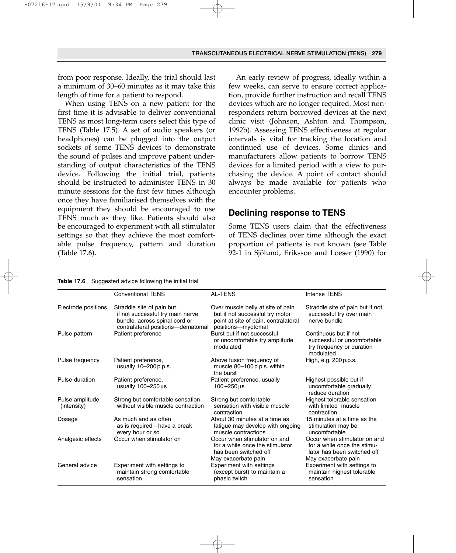from poor response. Ideally, the trial should last a minimum of 30–60 minutes as it may take this length of time for a patient to respond.

When using TENS on a new patient for the first time it is advisable to deliver conventional TENS as most long-term users select this type of TENS (Table 17.5). A set of audio speakers (or headphones) can be plugged into the output sockets of some TENS devices to demonstrate the sound of pulses and improve patient understanding of output characteristics of the TENS device. Following the initial trial, patients should be instructed to administer TENS in 30 minute sessions for the first few times although once they have familiarised themselves with the equipment they should be encouraged to use TENS much as they like. Patients should also be encouraged to experiment with all stimulator settings so that they achieve the most comfortable pulse frequency, pattern and duration (Table 17.6).

An early review of progress, ideally within a few weeks, can serve to ensure correct application, provide further instruction and recall TENS devices which are no longer required. Most nonresponders return borrowed devices at the next clinic visit (Johnson, Ashton and Thompson, 1992b). Assessing TENS effectiveness at regular intervals is vital for tracking the location and continued use of devices. Some clinics and manufacturers allow patients to borrow TENS devices for a limited period with a view to purchasing the device. A point of contact should always be made available for patients who encounter problems.

### **Declining response to TENS**

Some TENS users claim that the effectiveness of TENS declines over time although the exact proportion of patients is not known (see Table 92-1 in Sjölund, Eriksson and Loeser (1990) for

|                                | <b>Conventional TENS</b>                                                                                                            | <b>AL-TENS</b>                                                                                                                     | <b>Intense TENS</b>                                                                                               |
|--------------------------------|-------------------------------------------------------------------------------------------------------------------------------------|------------------------------------------------------------------------------------------------------------------------------------|-------------------------------------------------------------------------------------------------------------------|
| Electrode positions            | Straddle site of pain but<br>if not successful try main nerve<br>bundle, across spinal cord or<br>contralateral positions-dematomal | Over muscle belly at site of pain<br>but if not successful try motor<br>point at site of pain, contralateral<br>positions-myotomal | Straddle site of pain but if not<br>successful try over main<br>nerve bundle                                      |
| Pulse pattern                  | Patient preference                                                                                                                  | Burst but if not successful<br>or uncomfortable try amplitude<br>modulated                                                         | Continuous but if not<br>successful or uncomfortable<br>try frequency or duration<br>modulated                    |
| Pulse frequency                | Patient preference,<br>usually 10-200 p.p.s.                                                                                        | Above fusion frequency of<br>muscle 80-100 p.p.s. within<br>the burst                                                              | High, e.g. 200 p.p.s.                                                                                             |
| Pulse duration                 | Patient preference,<br>usually $100 - 250 \,\mu s$                                                                                  | Patient preference, usually<br>$100 - 250 \,\mu s$                                                                                 | Highest possible but if<br>uncomfortable gradually<br>reduce duration                                             |
| Pulse amplitude<br>(intensity) | Strong but comfortable sensation<br>without visible muscle contraction                                                              | Strong but comfortable<br>sensation with visible muscle<br>contraction                                                             | Highest tolerable sensation<br>with limited muscle<br>contraction                                                 |
| Dosage                         | As much and as often<br>as is required-have a break<br>every hour or so                                                             | About 30 minutes at a time as<br>fatigue may develop with ongoing<br>muscle contractions                                           | 15 minutes at a time as the<br>stimulation may be<br>uncomfortable                                                |
| Analgesic effects              | Occur when stimulator on                                                                                                            | Occur when stimulator on and<br>for a while once the stimulator<br>has been switched off<br>May exacerbate pain                    | Occur when stimulator on and<br>for a while once the stimu-<br>lator has been switched off<br>May exacerbate pain |
| General advice                 | Experiment with settings to<br>maintain strong comfortable<br>sensation                                                             | Experiment with settings<br>(except burst) to maintain a<br>phasic twitch                                                          | Experiment with settings to<br>maintain highest tolerable<br>sensation                                            |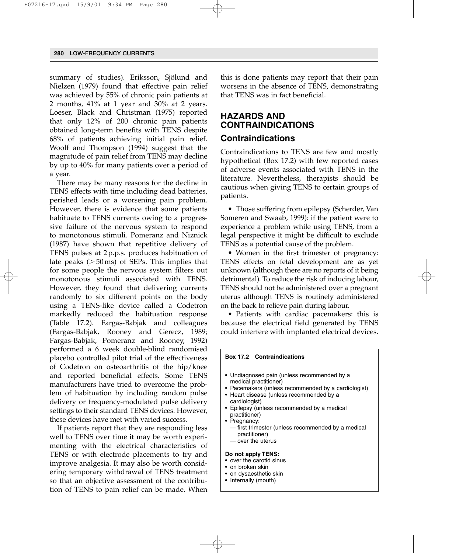summary of studies). Eriksson, Sjölund and Nielzen (1979) found that effective pain relief was achieved by 55% of chronic pain patients at 2 months, 41% at 1 year and 30% at 2 years. Loeser, Black and Christman (1975) reported that only 12% of 200 chronic pain patients obtained long-term benefits with TENS despite 68% of patients achieving initial pain relief. Woolf and Thompson (1994) suggest that the magnitude of pain relief from TENS may decline by up to 40% for many patients over a period of a year.

There may be many reasons for the decline in TENS effects with time including dead batteries, perished leads or a worsening pain problem. However, there is evidence that some patients habituate to TENS currents owing to a progressive failure of the nervous system to respond to monotonous stimuli. Pomeranz and Niznick (1987) have shown that repetitive delivery of TENS pulses at 2 p.p.s. produces habituation of late peaks  $($ >50 ms) of SEPs. This implies that for some people the nervous system filters out monotonous stimuli associated with TENS. However, they found that delivering currents randomly to six different points on the body using a TENS-like device called a Codetron markedly reduced the habituation response (Table 17.2). Fargas-Babjak and colleagues (Fargas-Babjak, Rooney and Gerecz, 1989; Fargas-Babjak, Pomeranz and Rooney, 1992) performed a 6 week double-blind randomised placebo controlled pilot trial of the effectiveness of Codetron on osteoarthritis of the hip/knee and reported beneficial effects. Some TENS manufacturers have tried to overcome the problem of habituation by including random pulse delivery or frequency-modulated pulse delivery settings to their standard TENS devices. However, these devices have met with varied success.

If patients report that they are responding less well to TENS over time it may be worth experimenting with the electrical characteristics of TENS or with electrode placements to try and improve analgesia. It may also be worth considering temporary withdrawal of TENS treatment so that an objective assessment of the contribution of TENS to pain relief can be made. When

this is done patients may report that their pain worsens in the absence of TENS, demonstrating that TENS was in fact beneficial.

# **HAZARDS AND CONTRAINDICATIONS**

### **Contraindications**

Contraindications to TENS are few and mostly hypothetical (Box 17.2) with few reported cases of adverse events associated with TENS in the literature. Nevertheless, therapists should be cautious when giving TENS to certain groups of patients.

• Those suffering from epilepsy (Scherder, Van Someren and Swaab, 1999): if the patient were to experience a problem while using TENS, from a legal perspective it might be difficult to exclude TENS as a potential cause of the problem.

• Women in the first trimester of pregnancy: TENS effects on fetal development are as yet unknown (although there are no reports of it being detrimental). To reduce the risk of inducing labour, TENS should not be administered over a pregnant uterus although TENS is routinely administered on the back to relieve pain during labour.

• Patients with cardiac pacemakers: this is because the electrical field generated by TENS could interfere with implanted electrical devices.

#### **Box 17.2 Contraindications** • Undiagnosed pain (unless recommended by a medical practitioner) • Pacemakers (unless recommended by a cardiologist) • Heart disease (unless recommended by a cardiologist) • Epilepsy (unless recommended by a medical practitioner) • Pregnancy: — first trimester (unless recommended by a medical practitioner) — over the uterus **Do not apply TENS:** • over the carotid sinus • on broken skin • on dysaesthetic skin • Internally (mouth)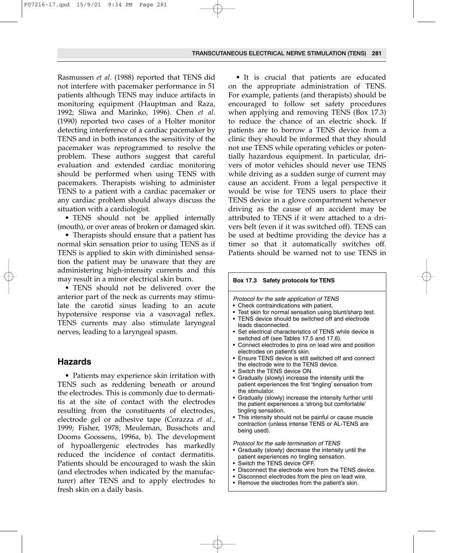Rasmussen *et al*. (1988) reported that TENS did not interfere with pacemaker performance in 51 patients although TENS may induce artifacts in monitoring equipment (Hauptman and Raza, 1992; Sliwa and Marinko, 1996). Chen *et al*. (1990) reported two cases of a Holter monitor detecting interference of a cardiac pacemaker by TENS and in both instances the sensitivity of the pacemaker was reprogrammed to resolve the problem. These authors suggest that careful evaluation and extended cardiac monitoring should be performed when using TENS with pacemakers. Therapists wishing to administer TENS to a patient with a cardiac pacemaker or any cardiac problem should always discuss the situation with a cardiologist.

• TENS should not be applied internally (mouth), or over areas of broken or damaged skin.

• Therapists should ensure that a patient has normal skin sensation prior to using TENS as if TENS is applied to skin with diminished sensation the patient may be unaware that they are administering high-intensity currents and this may result in a minor electrical skin burn.

• TENS should not be delivered over the anterior part of the neck as currents may stimulate the carotid sinus leading to an acute hypotensive response via a vasovagal reflex. TENS currents may also stimulate laryngeal nerves, leading to a laryngeal spasm.

# **Hazards**

• Patients may experience skin irritation with TENS such as reddening beneath or around the electrodes. This is commonly due to dermatitis at the site of contact with the electrodes resulting from the constituents of electrodes, electrode gel or adhesive tape (Corazza *et al*., 1999; Fisher, 1978; Meuleman, Busschots and Dooms Goossens, 1996a, b). The development of hypoallergenic electrodes has markedly reduced the incidence of contact dermatitis. Patients should be encouraged to wash the skin (and electrodes when indicated by the manufacturer) after TENS and to apply electrodes to fresh skin on a daily basis.

• It is crucial that patients are educated on the appropriate administration of TENS. For example, patients (and therapists) should be encouraged to follow set safety procedures when applying and removing TENS (Box 17.3) to reduce the chance of an electric shock. If patients are to borrow a TENS device from a clinic they should be informed that they should not use TENS while operating vehicles or potentially hazardous equipment. In particular, drivers of motor vehicles should never use TENS while driving as a sudden surge of current may cause an accident. From a legal perspective it would be wise for TENS users to place their TENS device in a glove compartment whenever driving as the cause of an accident may be attributed to TENS if it were attached to a drivers belt (even if it was switched off). TENS can be used at bedtime providing the device has a timer so that it automatically switches off. Patients should be warned not to use TENS in

#### **Box 17.3 Safety protocols for TENS** *Protocol for the safe application of TENS* • Check contraindications with patient. • Test skin for normal sensation using blunt/sharp test. • TENS device should be switched off and electrode leads disconnected. • Set electrical characteristics of TENS while device is switched off (see Tables 17.5 and 17.6). • Connect electrodes to pins on lead wire and position electrodes on patient's skin. • Ensure TENS device is still switched off and connect the electrode wire to the TENS device. • Switch the TENS device ON. • Gradually (slowly) increase the intensity until the patient experiences the first 'tingling' sensation from the stimulator. • Gradually (slowly) increase the intensity further until the patient experiences a 'strong but comfortable' tingling sensation. • This intensity should not be painful or cause muscle contraction (unless intense TENS or AL-TENS are being used). *Protocol for the safe termination of TENS*

- Gradually (slowly) decrease the intensity until the patient experiences no tingling sensation.
- Switch the TENS device OFF.
- Disconnect the electrode wire from the TENS device.
- Disconnect electrodes from the pins on lead wire.
- Remove the electrodes from the patient's skin.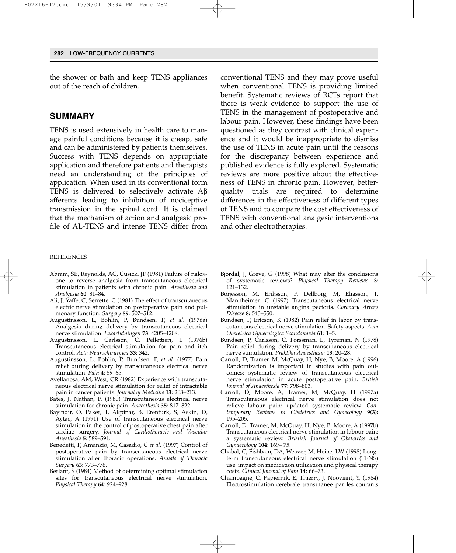the shower or bath and keep TENS appliances out of the reach of children.

#### **SUMMARY**

TENS is used extensively in health care to manage painful conditions because it is cheap, safe and can be administered by patients themselves. Success with TENS depends on appropriate application and therefore patients and therapists need an understanding of the principles of application. When used in its conventional form TENS is delivered to selectively activate Aβ afferents leading to inhibition of nociceptive transmission in the spinal cord. It is claimed that the mechanism of action and analgesic profile of AL-TENS and intense TENS differ from

conventional TENS and they may prove useful when conventional TENS is providing limited benefit. Systematic reviews of RCTs report that there is weak evidence to support the use of TENS in the management of postoperative and labour pain. However, these findings have been questioned as they contrast with clinical experience and it would be inappropriate to dismiss the use of TENS in acute pain until the reasons for the discrepancy between experience and published evidence is fully explored. Systematic reviews are more positive about the effectiveness of TENS in chronic pain. However, betterquality trials are required to determine differences in the effectiveness of different types of TENS and to compare the cost effectiveness of TENS with conventional analgesic interventions and other electrotherapies.

#### **REFERENCES**

- Abram, SE, Reynolds, AC, Cusick, JF (1981) Failure of naloxone to reverse analgesia from transcutaneous electrical stimulation in patients with chronic pain. *Anesthesia and Analgesia* **60**: 81–84.
- Ali, J, Yaffe, C, Serrette, C (1981) The effect of transcutaneous electric nerve stimulation on postoperative pain and pulmonary function. *Surgery* **89**: 507–512.
- Augustinsson, L, Bohlin, P, Bundsen, P, *et al*. (1976a) Analgesia during delivery by transcutaneous electrical nerve stimulation. *Lakartidningen* **73**: 4205–4208.
- Augustinsson, L, Carlsson, C, Pellettieri, L (1976b) Transcutaneous electrical stimulation for pain and itch control. *Acta Neurochirurgica* **33**: 342.
- Augustinsson, L, Bohlin, P, Bundsen, P, *et al*. (1977) Pain relief during delivery by transcutaneous electrical nerve stimulation. *Pain* **4**: 59–65.
- Avellanosa, AM, West, CR (1982) Experience with transcutaneous electrical nerve stimulation for relief of intractable pain in cancer patients. *Journal of Medicine* **13**: 203–213.
- Bates, J, Nathan, P, (1980) Transcutaneous electrical nerve stimulation for chronic pain. *Anaesthesia* **35**: 817–822.
- Bayindir, O, Paker, T, Akpinar, B, Erenturk, S, Askin, D, Aytac, A (1991) Use of transcutaneous electrical nerve stimulation in the control of postoperative chest pain after cardiac surgery. *Journal of Cardiothoracic and Vascular Anesthesia* **5**: 589–591.
- Benedetti, F, Amanzio, M, Casadio, C *et al*. (1997) Control of postoperative pain by transcutaneous electrical nerve stimulation after thoracic operations. *Annals of Thoracic Surgery* **63**: 773–776.
- Berlant, S (1984) Method of determining optimal stimulation sites for transcutaneous electrical nerve stimulation. *Physical Therapy* **64**: 924–928.
- Bjordal, J, Greve, G (1998) What may alter the conclusions of systematic reviews? *Physical Therapy Reviews* **3**: 121–132.
- Börjesson, M, Eriksson, P, Dellborg, M, Eliasson, T, Mannheimer, C (1997) Transcutaneous electrical nerve stimulation in unstable angina pectoris. *Coronary Artery Disease* **8:** 543–550.
- Bundsen, P, Ericson, K (1982) Pain relief in labor by transcutaneous electrical nerve stimulation. Safety aspects. *Acta Obstetrica Gynecologica Scandanavia* **61**: 1–5.
- Bundsen, P, Carlsson, C, Forssman, L, Tyreman, N (1978) Pain relief during delivery by transcutaneous electrical nerve stimulation. *Praktika Anaesthesia* **13**: 20–28.
- Carroll, D, Tramer, M, McQuay, H, Nye, B, Moore, A (1996) Randomization is important in studies with pain outcomes: systematic review of transcutaneous electrical nerve stimulation in acute postoperative pain. *British Journal of Anaesthesia* **77:** 798–803.
- Carroll, D, Moore, A, Tramer, M, McQuay, H (1997a) Transcutaneous electrical nerve stimulation does not relieve labour pain: updated systematic review. *Contemporary Reviews in Obstetrics and Gynecology* **9(3):** 195–205.
- Carroll, D, Tramer, M, McQuay, H, Nye, B, Moore, A (1997b) Transcutaneous electrical nerve stimulation in labour pain: a systematic review. *Bristish Journal of Obstetrics and Gynaecology* **104**: 169– 75.
- Chabal, C, Fishbain, DA, Weaver, M, Heine, LW (1998) Longterm transcutaneous electrical nerve stimulation (TENS) use: impact on medication utilization and physical therapy costs. *Clinical Journal of Pain* **14**: 66–73.
- Champagne, C, Papiernik, E, Thierry, J, Nooviant, Y, (1984) Electrostimulation cerebrale transutanee par les courants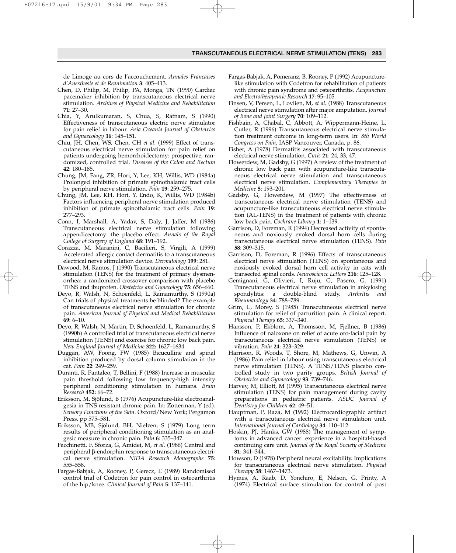de Limoge au cors de l'accouchement. *Annales Francaises d'Anesthesie et de Reanimation* **3**: 405–413.

- Chen, D, Philip, M, Philip, PA, Monga, TN (1990) Cardiac pacemaker inhibition by transcutaneous electrical nerve stimulation. *Archives of Physical Medicine and Rehabilitation* **71**: 27–30.
- Chia, Y, Arulkumaran, S, Chua, S, Ratnam, S (1990) Effectiveness of transcutaneous electric nerve stimulator for pain relief in labour. *Asia Oceania Journal of Obstetrics and Gynaecology* **16**: 145–151.
- Chiu, JH, Chen, WS, Chen, CH *et al.* (1999) Effect of transcutaneous electrical nerve stimulation for pain relief on patients undergoing hemorrhoidectomy: prospective, randomized, controlled trial. *Diseases of the Colon and Rectum* **42**: 180–185.
- Chung, JM, Fang, ZR, Hori, Y, Lee, KH, Willis, WD (1984a) Prolonged inhibition of primate spinothalamic tract cells by peripheral nerve stimulation. *Pain* **19**: 259–275.
- Chung, JM, Lee, KH, Hori, Y, Endo, K, Willis, WD (1984b) Factors influencing peripheral nerve stimulation produced inhibition of primate spinothalamic tract cells. *Pain* **19**: 277–293.
- Conn, I, Marshall, A, Yadav, S, Daly, J, Jaffer, M (1986) Transcutaneous electrical nerve stimulation following appendicectomy: the placebo effect. *Annals of the Royal College of Surgery of England* **68**: 191–192.
- Corazza, M, Maranini, C, Bacilieri, S, Virgili, A (1999) Accelerated allergic contact dermatitis to a transcutaneous electrical nerve stimulation device. *Dermatology* **199**: 281.
- Dawood, M, Ramos, J (1990) Transcutaneous electrical nerve stimulation (TENS) for the treatment of primary dysmenorrhea: a randomized crossover comparison with placebo TENS and ibuprofen. *Obstetrics and Gynecology* **75**: 656–660.
- Deyo, R, Walsh, N, Schoenfeld, L, Ramamurthy, S (1990a) Can trials of physical treatments be blinded? The example of transcutaneous electrical nerve stimulation for chronic pain. *American Journal of Physical and Medical Rehabilitation* **69**: 6–10.
- Deyo, R, Walsh, N, Martin, D, Schoenfeld, L, Ramamurthy, S (1990b) A controlled trial of transcutaneous electrical nerve stimulation (TENS) and exercise for chronic low back pain. *New England Journal of Medicine* **322:** 1627–1634.
- Duggan, AW, Foong, FW (1985) Bicuculline and spinal inhibition produced by dorsal column stimulation in the cat. *Pain* **22**: 249–259.
- Duranti, R, Pantaleo, T, Bellini, F (1988) Increase in muscular pain threshold following low frequency-high intensity peripheral conditioning stimulation in humans. *Brain Research* **452:** 66–72.
- Eriksson, M, Sjölund, B (1976) Acupuncture-like electroanalgesia in TNS resistant chronic pain. In: Zotterman, Y (ed). *Sensory Functions of the Skin*. Oxford/New York; Pergamon Press, pp 575–581.
- Eriksson, MB, Sjölund, BH, Nielzen, S (1979) Long term results of peripheral conditioning stimulation as an analgesic measure in chronic pain. *Pain* **6**: 335–347.
- Facchinetti, F, Sforza, G, Amidei, M, *et al.* (1986) Central and peripheral β-endorphin response to transcutaneous electrical nerve stimulation. *NIDA Research Monographs* **75**: 555–558.
- Fargas-Babjak, A, Rooney, P, Gerecz, E (1989) Randomised control trial of Codetron for pain control in osteoarthritis of the hip/knee. *Clinical Journal of Pain* **5**: 137–141.
- Fargas-Babjak, A, Pomeranz, B, Rooney, P (1992) Acupuncturelike stimulation with Codetron for rehabilitation of patients with chronic pain syndrome and osteoarthritis. *Acupuncture and Electrotherapeutic Research* **17**: 95–105.
- Finsen, V, Persen, L, Lovlien, M, *et al.* (1988) Transcutaneous electrical nerve stimulation after major amputation. *Journal of Bone and Joint Surgery* **70**: 109–112.
- Fishbain, A, Chabal, C, Abbott, A, Wippermann-Heine, L, Cutler, R (1996) Transcutaneous electrical nerve stimulation treatment outcome in long-term users. In: *8th World Congress on Pain*, IASP Vancouver, Canada, p. 86.
- Fisher, A (1978) Dermatitis associated with transcutaneous electrical nerve stimulation. *Cutis* **21**: 24, 33, 47.
- Flowerdew, M, Gadsby, G (1997) A review of the treatment of chronic low back pain with acupuncture-like transcutaneous electrical nerve stimulation and transcutaneous electrical nerve stimulation. *Complementary Therapies in Medicine* **5**: 193–201.
- Gadsby, G, Flowerdew, M (1997) The effectiveness of transcutaneous electrical nerve stimulation (TENS) and acupuncture-like transcutaneous electrical nerve stimulation (AL-TENS) in the treatment of patients with chronic low back pain. *Cochrane Library* **1**: 1–139.
- Garrison, D, Foreman, R (1994) Decreased activity of spontaneous and noxiously evoked dorsal horn cells during transcutaneous electrical nerve stimulation (TENS). *Pain* **58**: 309–315.
- Garrison, D, Foreman, R (1996) Effects of transcutaneous electrical nerve stimulation (TENS) on spontaneous and noxiously evoked dorsal horn cell activity in cats with transected spinal cords. *Neuroscience Letters* **216**: 125–128.
- Gemignani, G, Olivieri, I, Ruju, G, Pasero, G, (1991) Transcutaneous electrical nerve stimulation in ankylosing spondylitis: a double-blind study. *Arthritis and Rheumatology* **34**: 788–789.
- Grim, L, Morey, S (1985) Transcutaneous electrical nerve stimulation for relief of parturition pain. A clinical report. *Physical Therapy* **65**: 337–340.
- Hansson, P, Ekblom, A, Thomsson, M, Fjellner, B (1986) Influence of naloxone on relief of acute oro-facial pain by transcutaneous electrical nerve stimulation (TENS) or vibration. *Pain* **24**: 323–329.
- Harrison, R, Woods, T, Shore, M, Mathews, G, Unwin, A (1986) Pain relief in labour using transcutaneous electrical nerve stimulation (TENS). A TENS/TENS placebo controlled study in two parity groups. *British Journal of Obstetrics and Gynaecology* **93**: 739–746.
- Harvey, M, Elliott, M (1995) Transcutaneous electrical nerve stimulation (TENS) for pain management during cavity preparations in pediatric patients. *ASDC Journal of Dentistry for Children* **62**: 49–51.
- Hauptman, P, Raza, M (1992) Electrocardiographic artifact with a transcutaneous electrical nerve stimulation unit. *International Journal of Cardiology* **34**: 110–112.
- Hoskin, PJ, Hanks, GW (1988) The management of symptoms in advanced cancer: experience in a hospital-based continuing care unit. *Journal of the Royal Society of Medicine* **81**: 341–344.
- Howson, D (1978) Peripheral neural excitability. Implications for transcutaneous electrical nerve stimulation. *Physical Therapy* **58**: 1467–1473.
- Hymes, A, Raab, D, Yonchiro, E, Nelson, G, Printy, A (1974) Electrical surface stimulation for control of post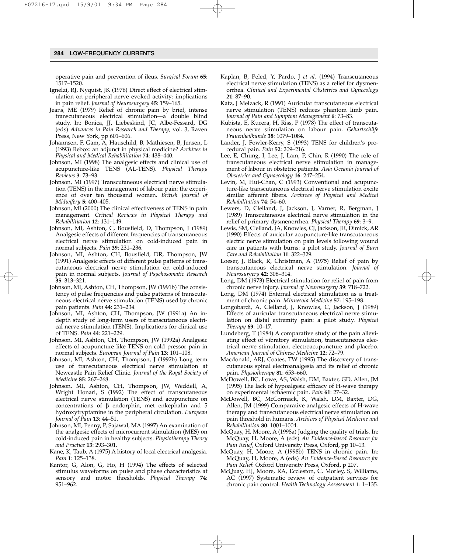operative pain and prevention of ileus. *Surgical Forum* **65**: 1517–1520.

- Ignelzi, RJ, Nyquist, JK (1976) Direct effect of electrical stimulation on peripheral nerve evoked activity: implications in pain relief. *Journal of Neurosurgery* **45**: 159–165.
- Jeans, ME (1979) Relief of chronic pain by brief, intense transcutaneous electrical stimulation—a double blind study. In: Bonica, JJ, Liebeskind, JC, Albe-Fessard, DG (eds) *Advances in Pain Research and Therapy*, vol. 3, Raven Press, New York, pp 601–606.
- Johannsen, F, Gam, A, Hauschild, B, Mathiesen, B, Jensen, L (1993) Rebox: an adjunct in physical medicine? *Archives in Physical and Medical Rehabilitation* **74**: 438–440.
- Johnson, MI (1998) The analgesic effects and clinical use of acupuncture-like TENS (AL-TENS). *Physical Therapy Reviews* **3**: 73–93.
- Johnson, MI (1997) Transcutaneous electrical nerve stimulation (TENS) in the management of labour pain: the experience of over ten thousand women. *British Journal of Midwifery* **5**: 400–405.
- Johnson, MI (2000) The clinical effectiveness of TENS in pain management. *Critical Reviews in Physical Therapy and Rehabilitiation* **12**: 131–149.
- Johnson, MI, Ashton, C, Bousfield, D, Thompson, J (1989) Analgesic effects of different frequencies of transcutaneous electrical nerve stimulation on cold-induced pain in normal subjects. *Pain* **39**: 231–236.
- Johnson, MI, Ashton, CH, Bousfield, DR, Thompson, JW (1991) Analgesic effects of different pulse patterns of transcutaneous electrical nerve stimulation on cold-induced pain in normal subjects. *Journal of Psychosomatic Research* **35**: 313–321.
- Johnson, MI, Ashton, CH, Thompson, JW (1991b) The consistency of pulse frequencies and pulse patterns of transcutaneous electrical nerve stimulation (TENS) used by chronic pain patients. *Pain* **44**: 231–234.
- Johnson, MI, Ashton, CH, Thompson, JW (1991a) An indepth study of long-term users of transcutaneous electrical nerve stimulation (TENS). Implications for clinical use of TENS. *Pain* **44**: 221–229.
- Johnson, MI, Ashton, CH, Thompson, JW (1992a) Analgesic effects of acupuncture like TENS on cold pressor pain in normal subjects. *European Journal of Pain* **13**: 101–108.
- Johnson, MI, Ashton, CH, Thompson, J (1992b) Long term use of transcutaneous electrical nerve stimulation at Newcastle Pain Relief Clinic. *Journal of the Royal Society of Medicine* **85**: 267–268.
- Johnson, MI, Ashton, CH, Thompson, JW, Weddell, A, Wright Honari, S (1992) The effect of transcutaneous electrical nerve stimulation (TENS) and acupuncture on concentrations of β endorphin, met enkephalin and 5 hydroxytryptamine in the peripheral circulation. *European Journal of Pain* **13**: 44–51.
- Johnson, MI, Penny, P, Sajawal, MA (1997) An examination of the analgesic effects of microcurrent stimulation (MES) on cold-induced pain in healthy subjects. *Physiotherapy Theory and Practice* **13**: 293–301.
- Kane, K, Taub, A (1975) A history of local electrical analgesia. *Pain* **1**: 125–138.
- Kantor, G, Alon, G, Ho, H (1994) The effects of selected stimulus waveforms on pulse and phase characteristics at sensory and motor thresholds. *Physical Therapy* **74**: 951–962.
- Kaplan, B, Peled, Y, Pardo, J *et al.* (1994) Transcutaneous electrical nerve stimulation (TENS) as a relief for dysmenorrhea. *Clinical and Experimental Obstetrics and Gynecology* **21**: 87–90.
- Katz, J Melzack, R (1991) Auricular transcutaneous electrical nerve stimulation (TENS) reduces phantom limb pain. *Journal of Pain and Symptom Management* **6**: 73–83.
- Kubista, E, Kucera, H, Riss, P (1978) The effect of transcutaneous nerve stimulation on labour pain. *Geburtschilfe Frauenheilkunde* **38**: 1079–1084.
- Lander, J, Fowler-Kerry, S (1993) TENS for children's procedural pain. *Pain* **52**: 209–216.
- Lee, E, Chung, I, Lee, J, Lam, P, Chin, R (1990) The role of transcutaneous electrical nerve stimulation in management of labour in obstetric patients. *Asia Oceania Journal of Obstetrics and Gynaecology* **16**: 247–254.
- Levin, M, Hui-Chan, C (1993) Conventional and acupuncture-like transcutaneous electrical nerve stimulation excite similar afferent fibers. *Archives of Physical and Medical Rehabilitation* **74**: 54–60.
- Lewers, D, Clelland, J, Jackson, J, Varner, R, Bergman, J (1989) Transcutaneous electrical nerve stimulation in the relief of primary dysmenorrhea. *Physical Therapy* **69**: 3–9.
- Lewis, SM, Clelland, JA, Knowles, CJ, Jackson, JR, Dimick, AR (1990) Effects of auricular acupuncture-like transcutaneous electric nerve stimulation on pain levels following wound care in patients with burns: a pilot study. *Journal of Burn Care and Rehabilitation* **11**: 322–329.
- Loeser, J, Black, R, Christman, A (1975) Relief of pain by transcutaneous electrical nerve stimulation. *Journal of Neurosurgery* **42**: 308–314.
- Long, DM (1973) Electrical stimulation for relief of pain from chronic nerve injury. *Journal of Neurosurgery* **39**: 718–722.
- Long, DM (1974) External electrical stimulation as a treatment of chronic pain. *Minnesota Medicine* **57**: 195–198.
- Longobardi, A, Clelland, J, Knowles, C, Jackson, J (1989) Effects of auricular transcutaneous electrical nerve stimulation on distal extremity pain: a pilot study. *Physical Therapy* **69**: 10–17.
- Lundeberg, T (1984) A comparative study of the pain alleviating effect of vibratory stimulation, transcutaneous electrical nerve stimulation, electroacupuncture and placebo. *American Journal of Chinese Medicine* **12**: 72–79.
- Macdonald, ARJ, Coates, TW (1995) The discovery of transcutaneous spinal electroanalgesia and its relief of chronic pain. *Physiotherapy* **81**: 653–660.
- McDowell, BC, Lowe, AS, Walsh, DM, Baxter, GD, Allen, JM (1995) The lack of hypoalgesic efficacy of H-wave therapy on experimental ischaemic pain. *Pain* **61**: 27–32.
- McDowell, BC, McCormack, K, Walsh, DM, Baxter, DG, Allen, JM (1999) Comparative analgesic effects of H-wave therapy and transcutaneous electrical nerve stimulation on pain threshold in humans. *Archives of Physical Medicine and Rehabilitation* **80**: 1001–1004.
- McQuay, H, Moore, A (1998a) Judging the quality of trials. In: McQuay, H, Moore, A (eds) *An Evidence-based Resource for Pain Relief*, Oxford University Press, Oxford, pp 10–13.
- McQuay, H, Moore, A (1998b) TENS in chronic pain. In: McQuay, H, Moore, A (eds) *An Evidence-Based Resource for Pain Relief.* Oxford University Press, Oxford, p 207.
- McQuay, HJ, Moore, RA, Eccleston, C, Morley, S, Williams, AC (1997) Systematic review of outpatient services for chronic pain control. *Health Technology Assessment* **1**: 1–135.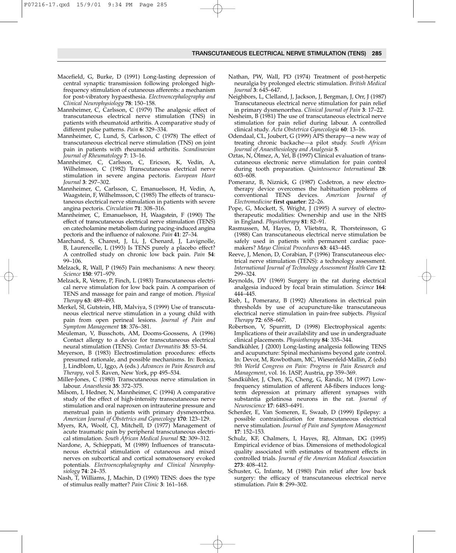- Macefield, G, Burke, D (1991) Long-lasting depression of central synaptic transmission following prolonged highfrequency stimulation of cutaneous afferents: a mechanism for post-vibratory hypaesthesia. *Electroencephalography and Clinical Neurophysiology* **78**: 150–158.
- Mannheimer, C, Carlsson, C (1979) The analgesic effect of transcutaneous electrical nerve stimulation (TNS) in patients with rheumatoid arthritis. A comparative study of different pulse patterns. *Pain* **6**: 329–334.
- Mannheimer, C, Lund, S, Carlsson, C (1978) The effect of transcutaneous electrical nerve stimulation (TNS) on joint pain in patients with rheumatoid arthritis. *Scandinavian Journal of Rheumatology* **7**: 13–16.
- Mannheimer, C, Carlsson, C, Ericson, K, Vedin, A, Wilhelmsson, C (1982) Transcutaneous electrical nerve stimulation in severe angina pectoris. *European Heart Journal* **3**: 297–302.
- Mannheimer, C, Carlsson, C, Emanuelsson, H, Vedin, A, Waagstein, F, Wilhelmsson, C (1985) The effects of transcutaneous electrical nerve stimulation in patients with severe angina pectoris. *Circulation* **71**: 308–316.
- Mannheimer, C, Emanuelsson, H, Waagstein, F (1990) The effect of transcutaneous electrical nerve stimulation (TENS) on catecholamine metabolism during pacing-induced angina pectoris and the influence of naloxone. *Pain* **41**: 27–34.
- Marchand, S, Charest, J, Li, J, Chenard, J, Lavignolle, B, Laurencelle, L (1993) Is TENS purely a placebo effect? A controlled study on chronic low back pain. *Pain* **54**: 99–106.
- Melzack, R, Wall, P (1965) Pain mechanisms: A new theory. *Science* **150**: 971–979.
- Melzack, R, Vetere, P, Finch, L (1983) Transcutaneous electrical nerve stimulation for low back pain. A comparison of TENS and massage for pain and range of motion. *Physical Therapy* **63**: 489–493.
- Merkel, SI, Gutstein, HB, Malviya, S (1999) Use of transcutaneous electrical nerve stimulation in a young child with pain from open perineal lesions. *Journal of Pain and Symptom Management* **18**: 376–381.
- Meuleman, V, Busschots, AM, Dooms-Goossens, A (1996) Contact allergy to a device for transcutaneous electrical neural stimulation (TENS). *Contact Dermatitis* **35**: 53–54.
- Meyerson, B (1983) Electrostimulation procedures: effects presumed rationale, and possible mechanisms. In: Bonica, J, Lindblom, U, Iggo, A (eds.) *Advances in Pain Research and Therapy*, vol 5. Raven, New York, pp 495–534.
- Miller-Jones, C (1980) Transcutaneous nerve stimulation in labour. *Anaesthesia* **35**: 372–375.
- Milsom, I, Hedner, N, Mannheimer, C (1994) A comparative study of the effect of high-intensity transcutaneous nerve stimulation and oral naproxen on intrauterine pressure and menstrual pain in patients with primary dysmenorrhea. *American Journal of Obstetrics and Gynecology* **170**: 123–129.
- Myers, RA, Woolf, CJ, Mitchell, D (1977) Management of acute traumatic pain by peripheral transcutaneous electrical stimulation. *South African Medical Journal* **52**: 309–312.
- Nardone, A, Schieppati, M (1989) Influences of transcutaneous electrical stimulation of cutaneous and mixed nerves on subcortical and cortical somatosensory evoked potentials. *Electroencephalography and Clinical Neurophysiology* **74**: 24–35.
- Nash, T, Williams, J, Machin, D (1990) TENS: does the type of stimulus really matter? *Pain Clinic* **3**: 161–168.
- Nathan, PW, Wall, PD (1974) Treatment of post-herpetic neuralgia by prolonged electric stimulation. *British Medical Journal* **3**: 645–647.
- Neighbors, L, Clelland, J, Jackson, J, Bergman, J, Orr, J (1987) Transcutaneous electrical nerve stimulation for pain relief in primary dysmenorrhea. *Clinical Journal of Pain* **3**: 17–22.
- Nesheim, B (1981) The use of transcutaneous electrical nerve stimulation for pain relief during labour. A controlled clinical study. *Acta Obstetrica Gynecologia* **60**: 13–16.
- Odendaal, CL, Joubert, G (1999) APS therapy—a new way of treating chronic backache—a pilot study. *South African Journal of Anaesthesiology and Analgesia* **5**.
- Oztas, N, Olmez, A, Yel, B (1997) Clinical evaluation of transcutaneous electronic nerve stimulation for pain control during tooth preparation. *Quintessence International* **28**: 603–608.
- Pomeranz, B, Niznick, G (1987) Codetron, a new electrotherapy device overcomes the habituation problems of conventional TENS devices. *American Journal of Electromedicine* **first quarter**: 22–26.
- Pope, G, Mockett, S, Wright, J (1995) A survey of electrotherapeutic modalities: Ownership and use in the NHS in England. *Physiotherapy* **81**: 82–91.
- Rasmussen, M, Hayes, D, Vlietstra, R, Thorsteinsson, G (1988) Can transcutaneous electrical nerve stimulation be safely used in patients with permanent cardiac pacemakers? *Mayo Clinical Procedures* **63**: 443–445.
- Reeve, J, Menon, D, Corabian, P (1996) Transcutaneous electrical nerve stimulation (TENS): a technology assessment. *International Journal of Technology Assessment Health Care* **12**: 299–324.
- Reynolds, DV (1969) Surgery in the rat during electrical analgesia induced by focal brain stimulation. *Science* **164**: 444–445.
- Rieb, L, Pomeranz, B (1992) Alterations in electrical pain thresholds by use of acupuncture-like transcutaneous electrical nerve stimulation in pain-free subjects. *Physical Therapy* **72**: 658–667.
- Robertson, V, Spurritt, D (1998) Electrophysical agents: Implications of their availability and use in undergraduate clinical placements. *Physiotherapy* **84**: 335–344.
- Sandkühler, J (2000) Long-lasting analgesia following TENS and acupuncture: Spinal mechanisms beyond gate control. In: Devor, M, Rowbotham, MC, Wiesenfeld-Mallin, Z (eds) *9th World Congress on Pain: Progress in Pain Research and Management*, vol. 16. IASP, Austria, pp 359–369.
- Sandkühler, J, Chen, JG, Cheng, G, Randic, M (1997) Lowfrequency stimulation of afferent Aδ-fibers induces longterm depression at primary afferent synapses with substantia gelatinosa neurons in the rat. *Journal of Neuroscience* **17**: 6483–6491.
- Scherder, E, Van Someren, E, Swaab, D (1999) Epilepsy: a possible contraindication for transcutaneous electrical nerve stimulation. *Journal of Pain and Symptom Management* **17**: 152–153.
- Schulz, KF, Chalmers, I, Hayes, RJ, Altman, DG (1995) Empirical evidence of bias. Dimensions of methodological quality associated with estimates of treatment effects in controlled trials. *Journal of the American Medical Association* **273**: 408–412.
- Schuster, G, Infante, M (1980) Pain relief after low back surgery: the efficacy of transcutaneous electrical nerve stimulation. *Pain* **8**: 299–302.